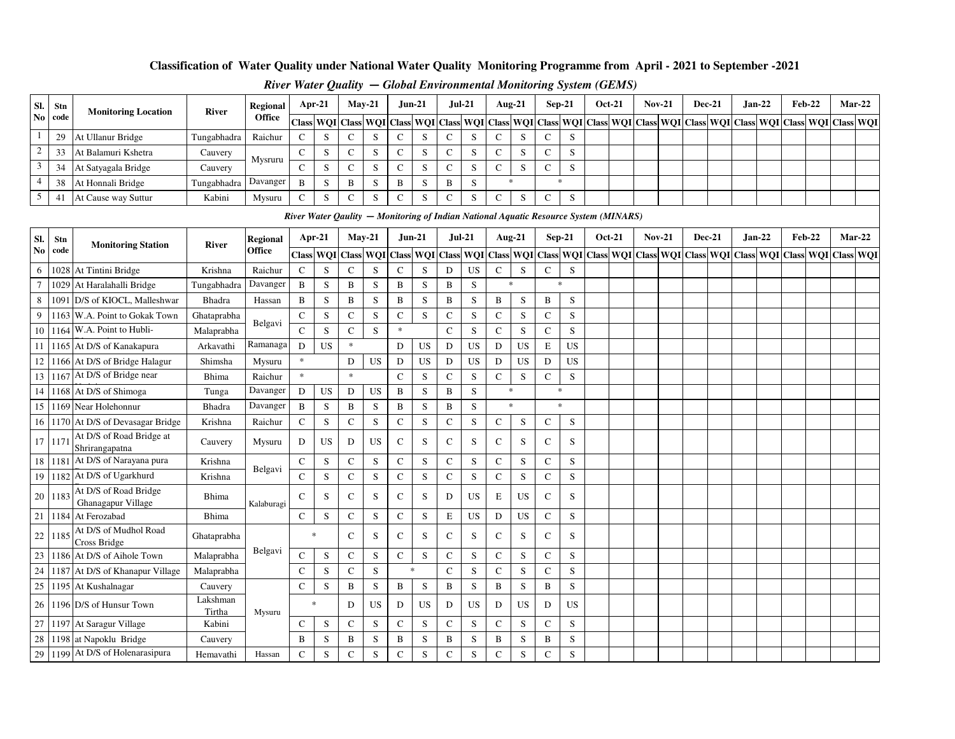### **Classification of Water Quality under National Water Quality Monitoring Programme from April - 2021 to September -2021**

| <b>Mar-22</b><br>$Feb-22$<br>$Jan-22$<br> Class  WQI  Class  WQI  Class  WQI  Class  WQI  Class  WQI  Class  WQI  Class  WQI  Class  WQI  Class  WQI  Class  WQI  Class  WQI  Class  WQI  Class  WQI  Class  WQI  Class  WQI  Class  WQI  Class  WQI  Class  WQI  Class |
|-------------------------------------------------------------------------------------------------------------------------------------------------------------------------------------------------------------------------------------------------------------------------|
|                                                                                                                                                                                                                                                                         |
|                                                                                                                                                                                                                                                                         |
|                                                                                                                                                                                                                                                                         |
|                                                                                                                                                                                                                                                                         |
|                                                                                                                                                                                                                                                                         |
|                                                                                                                                                                                                                                                                         |
|                                                                                                                                                                                                                                                                         |
|                                                                                                                                                                                                                                                                         |

#### *River Water Quality* **—** *Global Environmental Monitoring System (GEMS)*

|        | River Water Qaulity – Monitoring of Indian National Aquatic Resource System (MINARS)<br>$Jun-21$<br><b>Feb-22</b><br>Apr-21<br>$May-21$<br>$Jul-21$<br>Aug-21<br>$Sep-21$<br><b>Oct-21</b><br>$Nov-21$<br><b>Dec-21</b><br>$Jan-22$<br>Mar-22<br>Regional<br>Stn<br><b>Monitoring Station</b><br><b>River</b><br>No code<br>Office<br>Class WQI Class WQI Class WQI Class WQI Class WQI Class WQI Class WQI Class WQI Class WQI Class WQI Class WQI<br>Class WQI Class WQI |                                             |                    |            |               |           |              |           |              |           |              |           |              |           |               |             |  |  |  |  |  |  |  |
|--------|----------------------------------------------------------------------------------------------------------------------------------------------------------------------------------------------------------------------------------------------------------------------------------------------------------------------------------------------------------------------------------------------------------------------------------------------------------------------------|---------------------------------------------|--------------------|------------|---------------|-----------|--------------|-----------|--------------|-----------|--------------|-----------|--------------|-----------|---------------|-------------|--|--|--|--|--|--|--|
| SI.    |                                                                                                                                                                                                                                                                                                                                                                                                                                                                            |                                             |                    |            |               |           |              |           |              |           |              |           |              |           |               |             |  |  |  |  |  |  |  |
|        |                                                                                                                                                                                                                                                                                                                                                                                                                                                                            |                                             |                    |            |               |           |              |           |              |           |              |           |              |           |               |             |  |  |  |  |  |  |  |
| 6      |                                                                                                                                                                                                                                                                                                                                                                                                                                                                            | 1028 At Tintini Bridge                      | Krishna            | Raichur    | $\mathcal{C}$ | S         | $\mathsf{C}$ | S         | $\mathsf{C}$ | S         | D            | <b>US</b> | $\mathsf{C}$ | S         | $\mathsf{C}$  | S           |  |  |  |  |  |  |  |
| $\tau$ |                                                                                                                                                                                                                                                                                                                                                                                                                                                                            | 1029 At Haralahalli Bridge                  | Tungabhadra        | Davanger   | B             | S         | B            | S         | B            | S         | B            | S         | $\ast$       |           |               | $\ast$      |  |  |  |  |  |  |  |
| 8      |                                                                                                                                                                                                                                                                                                                                                                                                                                                                            | 1091 D/S of KIOCL, Malleshwar               | Bhadra             | Hassan     | B             | S         | B            | S         | B            | S         | B            | S         | B            | S         | B             | S           |  |  |  |  |  |  |  |
| 9      |                                                                                                                                                                                                                                                                                                                                                                                                                                                                            | 1163 W.A. Point to Gokak Town               | Ghataprabha        | Belgavi    | $\mathsf{C}$  | S         | $\mathbf C$  | S         | $\mathsf{C}$ | S         | $\mathsf{C}$ | S         | $\mathsf{C}$ | S         | $\mathsf{C}$  | S           |  |  |  |  |  |  |  |
|        |                                                                                                                                                                                                                                                                                                                                                                                                                                                                            | 10   1164   W.A. Point to Hubli-            | Malaprabha         |            | $\mathbf C$   | S         | $\mathsf{C}$ | S         | $\ast$       |           | $\mathsf{C}$ | S         | $\mathbf C$  | S         | $\mathbf C$   | S           |  |  |  |  |  |  |  |
|        |                                                                                                                                                                                                                                                                                                                                                                                                                                                                            | 11 1165 At D/S of Kanakapura                | Arkavathi          | Ramanaga   | D             | <b>US</b> | $\ast$       |           | D            | <b>US</b> | D            | <b>US</b> | D            | US        | E             | <b>US</b>   |  |  |  |  |  |  |  |
|        |                                                                                                                                                                                                                                                                                                                                                                                                                                                                            | 12 1166 At D/S of Bridge Halagur            | Shimsha            | Mysuru     | $\ast$        |           | D            | <b>US</b> | D            | <b>US</b> | D            | <b>US</b> | D            | US        | D             | <b>US</b>   |  |  |  |  |  |  |  |
|        |                                                                                                                                                                                                                                                                                                                                                                                                                                                                            | 13 1167 At D/S of Bridge near               | Bhima              | Raichur    | $\star$       |           | $\ast$       |           | $\mathsf{C}$ | S         | $\mathsf{C}$ | S         | $\mathsf{C}$ | S         | $\mathsf{C}$  | S           |  |  |  |  |  |  |  |
|        |                                                                                                                                                                                                                                                                                                                                                                                                                                                                            | 14 1168 At D/S of Shimoga                   | Tunga              | Davanger   | D             | <b>US</b> | D            | <b>US</b> | B            | S         | B            | S         | $\ast$       |           |               | $\ast$      |  |  |  |  |  |  |  |
|        |                                                                                                                                                                                                                                                                                                                                                                                                                                                                            | 15 1169 Near Holehonnur                     | Bhadra             | Davanger   | B             | S         | B            | S         | B            | S         | B            | S         | $\ast$       |           |               | $\ast$      |  |  |  |  |  |  |  |
|        |                                                                                                                                                                                                                                                                                                                                                                                                                                                                            | 16 1170 At D/S of Devasagar Bridge          | Krishna            | Raichur    | $\mathsf{C}$  | S         | $\mathbf C$  | S         | $\mathbf C$  | S         | $\mathbf C$  | S         | $\mathsf{C}$ | S         | C             | S           |  |  |  |  |  |  |  |
|        | 17 1171                                                                                                                                                                                                                                                                                                                                                                                                                                                                    | At D/S of Road Bridge at<br>Shrirangapatna  | Cauvery            | Mysuru     | D             | <b>US</b> | D            | <b>US</b> | $\mathbf C$  | S         | $\mathsf{C}$ | S         | ${\bf C}$    | S         | $\mathcal{C}$ | S           |  |  |  |  |  |  |  |
|        |                                                                                                                                                                                                                                                                                                                                                                                                                                                                            | 18 1181 At D/S of Narayana pura             | Krishna            | Belgavi    | $\mathsf{C}$  | S         | $\mathsf{C}$ | S         | $\mathsf{C}$ | S         | $\mathbf C$  | S         | $\mathsf{C}$ | S         | $\mathsf{C}$  | S           |  |  |  |  |  |  |  |
|        |                                                                                                                                                                                                                                                                                                                                                                                                                                                                            | 19 1182 At D/S of Ugarkhurd                 | Krishna            |            | $\mathbf C$   | S         | $\mathsf{C}$ | ${\bf S}$ | $\mathbf C$  | S         | ${\bf C}$    | S         | ${\bf C}$    | S         | $\mathbf C$   | $\mathbf S$ |  |  |  |  |  |  |  |
|        | 20 1183                                                                                                                                                                                                                                                                                                                                                                                                                                                                    | At D/S of Road Bridge<br>Ghanagapur Village | Bhima              | Kalaburagi | C             | S         | $\mathbf C$  | S         | C            | S         | D            | <b>US</b> | E            | US        | C             | S           |  |  |  |  |  |  |  |
|        | 21 1184                                                                                                                                                                                                                                                                                                                                                                                                                                                                    | At Ferozabad                                | Bhima              |            | $\mathbf C$   | S         | $\mathsf{C}$ | S         | $\mathbf C$  | S         | E            | <b>US</b> | D            | <b>US</b> | $\mathbf C$   | S           |  |  |  |  |  |  |  |
|        | 22 1185                                                                                                                                                                                                                                                                                                                                                                                                                                                                    | At D/S of Mudhol Road<br>Cross Bridge       | Ghataprabha        |            |               | $\ast$    | $\mathsf{C}$ | S         | $\mathsf{C}$ | S         | $\mathsf{C}$ | S         | $\mathsf{C}$ | S         | $\mathsf{C}$  | S           |  |  |  |  |  |  |  |
|        |                                                                                                                                                                                                                                                                                                                                                                                                                                                                            | 23 1186 At D/S of Aihole Town               | Malaprabha         | Belgavi    | $\mathbf C$   | S         | $\mathbf C$  | S         | $\mathbf C$  | S         | $\mathbf C$  | S         | $\mathsf{C}$ | S         | $\mathbf C$   | S           |  |  |  |  |  |  |  |
|        |                                                                                                                                                                                                                                                                                                                                                                                                                                                                            | 24 1187 At D/S of Khanapur Village          | Malaprabha         |            | $\mathsf{C}$  | S         | ${\bf C}$    | S         |              | $\ast$    | $\mathbf C$  | S         | ${\bf C}$    | S         | $\mathbf C$   | $\mathbf S$ |  |  |  |  |  |  |  |
|        |                                                                                                                                                                                                                                                                                                                                                                                                                                                                            | 25 1195 At Kushalnagar                      | Cauvery            |            | $\mathbf C$   | S         | B            | S         | B            | S         | $\, {\bf B}$ | S         | B            | S         | B             | S           |  |  |  |  |  |  |  |
|        |                                                                                                                                                                                                                                                                                                                                                                                                                                                                            | 26 1196 D/S of Hunsur Town                  | Lakshman<br>Tirtha | Mysuru     |               | $\ast$    | D            | <b>US</b> | D            | <b>US</b> | D            | <b>US</b> | D            | US        | D             | <b>US</b>   |  |  |  |  |  |  |  |
|        |                                                                                                                                                                                                                                                                                                                                                                                                                                                                            | 27 1197 At Saragur Village                  | Kabini             |            | $\mathsf{C}$  | S         | $\mathsf{C}$ | S         | $\mathbf C$  | S         | $\mathbf C$  | S         | $\mathbf C$  | S         | $\mathsf{C}$  | S           |  |  |  |  |  |  |  |
| 28     |                                                                                                                                                                                                                                                                                                                                                                                                                                                                            | 1198 at Napoklu Bridge                      | Cauvery            |            | B             | S         | B            | S         | B            | S         | B            | S         | B            | S         | B             | S           |  |  |  |  |  |  |  |
|        |                                                                                                                                                                                                                                                                                                                                                                                                                                                                            | 29 1199 At D/S of Holenarasipura            | Hemavathi          | Hassan     | $\mathsf{C}$  | S         | $\mathbf C$  | S         | $\mathsf{C}$ | S         | $\mathsf{C}$ | S         | $\mathsf{C}$ | S         | C             | S           |  |  |  |  |  |  |  |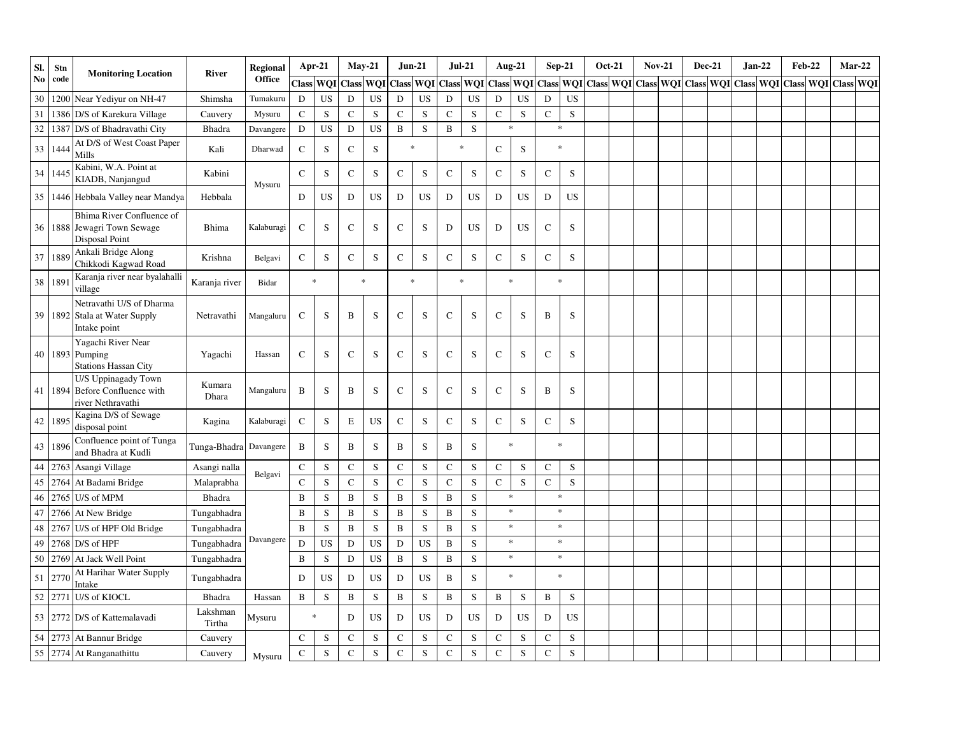| SI.    | Stn     | <b>Monitoring Location</b>                                                        | River              | Regional   | Apr-21         |           |              | $May-21$  | $Jun-21$    |             | $Jul-21$            |           |              | <b>Aug-21</b> |             | $Sep-21$                                                                          | <b>Oct-21</b> | $Nov-21$ | <b>Dec-21</b> | $Jan-22$ | $\rm\bf Feb\text{-}22$ |  | $Mar-22$  |
|--------|---------|-----------------------------------------------------------------------------------|--------------------|------------|----------------|-----------|--------------|-----------|-------------|-------------|---------------------|-----------|--------------|---------------|-------------|-----------------------------------------------------------------------------------|---------------|----------|---------------|----------|------------------------|--|-----------|
| No.    | code    |                                                                                   |                    | Office     |                | Class WOI | <b>Class</b> | WQI       |             |             | Class WQI Class WQI |           | <b>Class</b> | WQI           |             | Class   WQI   Class   WQI   Class   WQI   Class   WQI   Class   WQI   Class   WQI |               |          |               |          |                        |  | Class WQI |
| 30     | 1200    | Near Yediyur on NH-47                                                             | Shimsha            | Tumakuru   | D              | <b>US</b> | D            | <b>US</b> | D           | <b>US</b>   | $\mathbf D$         | <b>US</b> | D            | <b>US</b>     | D           | <b>US</b>                                                                         |               |          |               |          |                        |  |           |
| 31     | 1386    | D/S of Karekura Village                                                           | Cauvery            | Mysuru     | $\mathbf C$    | ${\bf S}$ | ${\bf C}$    | S         | $\mathbf C$ | $\mathbf S$ | ${\bf C}$           | ${\bf S}$ | ${\bf C}$    | ${\bf S}$     | $\mathsf C$ | S                                                                                 |               |          |               |          |                        |  |           |
| $32\,$ | 1387    | D/S of Bhadravathi City                                                           | Bhadra             | Davangere  | ${\bf D}$      | <b>US</b> | ${\bf D}$    | <b>US</b> | B           | $\mathbf S$ | $\, {\bf B}$        | S         |              | $\ast$        |             | $\ast$                                                                            |               |          |               |          |                        |  |           |
| 33     | 1444    | At D/S of West Coast Paper<br>Mills                                               | Kali               | Dharwad    | $\mathbf C$    | S         | ${\bf C}$    | ${\bf S}$ | $\ast$      |             | $\ast$              |           | $\mathsf C$  | $\mathbf S$   | $\star$     |                                                                                   |               |          |               |          |                        |  |           |
| 34     | 1445    | Kabini, W.A. Point at<br>KIADB, Nanjangud                                         | Kabini             | Mysuru     | $\mathcal{C}$  | S         | $\mathsf{C}$ | S         | $\mathbf C$ | ${\bf S}$   | ${\bf C}$           | S         | $\mathsf C$  | S             | $\mathbf C$ | ${\bf S}$                                                                         |               |          |               |          |                        |  |           |
| 35     |         | 1446 Hebbala Valley near Mandya                                                   | Hebbala            |            | D              | US        | D            | <b>US</b> | ${\bf D}$   | US          | $\mathbf D$         | US        | D            | <b>US</b>     | D           | <b>US</b>                                                                         |               |          |               |          |                        |  |           |
|        |         | Bhima River Confluence of<br>36 1888 Jewagri Town Sewage<br><b>Disposal Point</b> | <b>Bhima</b>       | Kalaburagi | $\mathbf C$    | S         | C            | S         | $\mathbf C$ | S           | D                   | US        | D            | US            | C           | S                                                                                 |               |          |               |          |                        |  |           |
| 37     | 1889    | Ankali Bridge Along<br>Chikkodi Kagwad Road                                       | Krishna            | Belgavi    | $\mathbf C$    | S         | $\mathbf C$  | ${\bf S}$ | $\mathbf C$ | $\mathbf S$ | $\mathbf C$         | S         | $\mathbf C$  | S             | $\mathbf C$ | ${\bf S}$                                                                         |               |          |               |          |                        |  |           |
|        | 38 189  | Karanja river near byalahalli<br>village                                          | Karanja river      | Bidar      | $\ast$         |           |              | $\ast$    |             | $\ast$      | $\ast$              |           |              | $\ast$        | $\ast$      |                                                                                   |               |          |               |          |                        |  |           |
|        |         | Netravathi U/S of Dharma<br>39 1892 Stala at Water Supply<br>Intake point         | Netravathi         | Mangaluru  | $\mathbf C$    | S         | $\, {\bf B}$ | S         | $\mathbf C$ | S           | $\mathsf{C}$        | S         | $\mathsf{C}$ | S             | B           | S                                                                                 |               |          |               |          |                        |  |           |
|        | 40 1893 | Yagachi River Near<br>Pumping<br><b>Stations Hassan City</b>                      | Yagachi            | Hassan     | $\mathbf C$    | S         | $\mathbf C$  | S         | $\mathbf C$ | S           | $\mathsf{C}$        | S         | $\mathsf{C}$ | S             | $\mathbf C$ | S                                                                                 |               |          |               |          |                        |  |           |
|        | 41 1894 | U/S Uppinagady Town<br>Before Confluence with<br>river Nethravathi                | Kumara<br>Dhara    | Mangaluru  | B              | S         | B            | ${\bf S}$ | $\mathsf C$ | S           | $\mathsf{C}$        | S         | $\mathbf C$  | $\mathbf S$   | B           | S                                                                                 |               |          |               |          |                        |  |           |
|        | 42 1895 | Kagina D/S of Sewage<br>disposal point                                            | Kagina             | Kalaburagi | $\mathbf C$    | ${\bf S}$ | Е            | <b>US</b> | $\mathbf C$ | $\mathbf S$ | $\mathsf{C}$        | ${\bf S}$ | $\mathsf{C}$ | S             | $\mathbf C$ | S                                                                                 |               |          |               |          |                        |  |           |
| 43     | 1896    | Confluence point of Tunga<br>and Bhadra at Kudli                                  | Tunga-Bhadra       | Davangere  | B              | S         | B            | S         | B           | S           | B                   | S         |              | $\ast$        | $\ast$      |                                                                                   |               |          |               |          |                        |  |           |
| 44     | 2763    | Asangi Village                                                                    | Asangi nalla       |            | $\mathbf C$    | S         | $\mathbf C$  | ${\bf S}$ | $\mathbf C$ | ${\bf S}$   | $\mathsf C$         | S         | $\mathbf C$  | $\mathbf S$   | $\mathbf C$ | S                                                                                 |               |          |               |          |                        |  |           |
| 45     | 2764    | At Badami Bridge                                                                  | Malaprabha         | Belgavi    | $\overline{C}$ | ${\bf S}$ | $\mathbf C$  | S         | $\mathbf C$ | ${\bf S}$   | $\mathbf C$         | S         | $\mathbf C$  | S             | $\mathbf C$ | ${\bf S}$                                                                         |               |          |               |          |                        |  |           |
| 46     | 2765    | U/S of MPM                                                                        | <b>Bhadra</b>      |            | $\mathbf B$    | ${\bf S}$ | $\, {\bf B}$ | S         | $\bf{B}$    | ${\bf S}$   | $\, {\bf B}$        | S         |              | $\ast$        | $\ast$      |                                                                                   |               |          |               |          |                        |  |           |
| 47     | 2766    | At New Bridge                                                                     | Tungabhadra        |            | B              | S         | $\, {\bf B}$ | S         | B           | S           | $\, {\bf B}$        | S         |              | $\ast$        | $\ast$      |                                                                                   |               |          |               |          |                        |  |           |
| 48     | 2767    | U/S of HPF Old Bridge                                                             | Tungabhadra        |            | $\bf{B}$       | S         | $\, {\bf B}$ | S         | $\bf{B}$    | S           | $\overline{B}$      | S         |              | $\ast$        |             | $\ast$                                                                            |               |          |               |          |                        |  |           |
| 49     | 2768    | D/S of HPF                                                                        | Tungabhadra        | Davangere  | D              | <b>US</b> | ${\rm D}$    | US        | D           | <b>US</b>   | $\, {\bf B}$        | S         |              | $\ast$        |             | $\ast$                                                                            |               |          |               |          |                        |  |           |
| 50     | 2769    | At Jack Well Point                                                                | Tungabhadra        |            | B              | ${\bf S}$ | $\mathbf D$  | <b>US</b> | $\bf{B}$    | ${\bf S}$   | $\, {\bf B}$        | ${\bf S}$ |              | $\ast$        |             | $\ast$                                                                            |               |          |               |          |                        |  |           |
| 51     | 2770    | At Harihar Water Supply<br>Intake                                                 | Tungabhadra        |            | D              | <b>US</b> | D            | <b>US</b> | ${\bf D}$   | <b>US</b>   | B                   | S         |              | $\ast$        |             | $\ast$                                                                            |               |          |               |          |                        |  |           |
|        | 52 2771 | U/S of KIOCL                                                                      | <b>Bhadra</b>      | Hassan     | $\, {\bf B}$   | S         | $\, {\bf B}$ | S         | $\bf{B}$    | ${\bf S}$   | $\bf{B}$            | S         | B            | ${\bf S}$     | B           | S                                                                                 |               |          |               |          |                        |  |           |
| 53     | 2772    | D/S of Kattemalavadi                                                              | Lakshman<br>Tirtha | Mysuru     | $\ast$         |           | ${\bf D}$    | <b>US</b> | ${\bf D}$   | <b>US</b>   | D                   | US        | D            | <b>US</b>     | D           | US                                                                                |               |          |               |          |                        |  |           |
| 54     |         | 2773 At Bannur Bridge                                                             | Cauvery            |            | $\mathbf C$    | ${\bf S}$ | ${\bf C}$    | ${\bf S}$ | $\mathbf C$ | ${\bf S}$   | ${\bf C}$           | ${\bf S}$ | $\mathsf C$  | $\mathbf S$   | $\mathbf C$ | ${\bf S}$                                                                         |               |          |               |          |                        |  |           |
| 55     |         | 2774 At Ranganathittu                                                             | Cauvery            | Mysuru     | $\mathbf C$    | S         | $\mathbf C$  | S         | $\mathbf C$ | S           | $\mathcal{C}$       | S         | $\mathbf C$  | S             | $\mathbf C$ | S                                                                                 |               |          |               |          |                        |  |           |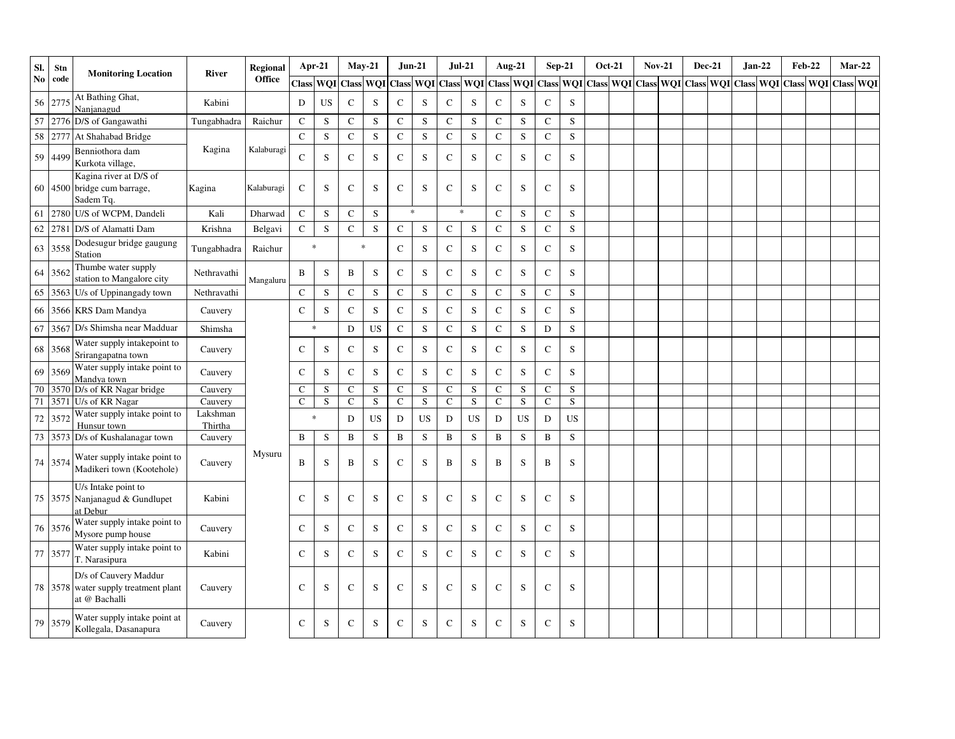| SI.            | Stn     | <b>Monitoring Location</b>                                                     | <b>River</b>        | <b>Regional</b> | Apr-21      |           | $May-21$        |                         | $Jun-21$     |             | $Jul-21$     |           |              | <b>Aug-21</b>   |              | $Sep-21$  | <b>Oct-21</b> | <b>Nov-21</b> | <b>Dec-21</b> | $Jan-22$ | <b>Feb-22</b> |  | $Mar-22$                                                                                |
|----------------|---------|--------------------------------------------------------------------------------|---------------------|-----------------|-------------|-----------|-----------------|-------------------------|--------------|-------------|--------------|-----------|--------------|-----------------|--------------|-----------|---------------|---------------|---------------|----------|---------------|--|-----------------------------------------------------------------------------------------|
| N <sub>0</sub> | code    |                                                                                |                     | Office          |             |           | Class WQI Class | WQI Class WQI Class WQI |              |             |              |           |              | Class WQI Class |              |           |               |               |               |          |               |  | WQI Class   WQI Class   WQI Class   WQI Class   WQI Class   WQI Class   WQI Class   WQI |
| 56             | 2775    | At Bathing Ghat,<br>Nanjanagud                                                 | Kabini              |                 | $\mathbf D$ | <b>US</b> | $\mathsf{C}$    | S                       | $\mathbf C$  | S           | ${\bf C}$    | S         | $\mathbf C$  | S               | $\mathbf C$  | S         |               |               |               |          |               |  |                                                                                         |
| 57             | 2776    | D/S of Gangawathi                                                              | Tungabhadra         | Raichur         | $\mathbf C$ | S         | ${\bf C}$       | ${\bf S}$               | $\mathbf C$  | $\mathbf S$ | $\mathsf C$  | S         | $\mathbf C$  | S               | $\mathbf C$  | S         |               |               |               |          |               |  |                                                                                         |
| 58             | 2777    | At Shahabad Bridge                                                             |                     |                 | $\mathbf C$ | S         | $\mathbf C$     | S                       | $\mathbf C$  | S           | $\mathsf{C}$ | S         | $\mathsf{C}$ | ${\bf S}$       | $\mathbf C$  | S         |               |               |               |          |               |  |                                                                                         |
| 59             | 4499    | Benniothora dam<br>Kurkota village,                                            | Kagina              | Kalaburagi      | $\mathbf C$ | S         | $\mathbf C$     | S                       | $\mathbf C$  | S           | $\mathsf{C}$ | S         | $\mathbf C$  | S               | $\mathbf C$  | S         |               |               |               |          |               |  |                                                                                         |
| 60             |         | Kagina river at D/S of<br>4500 bridge cum barrage,<br>Sadem Tq.                | Kagina              | Kalaburagi      | $\mathbf C$ | S         | $\mathbf C$     | S                       | $\mathbf C$  | S           | $\mathsf{C}$ | S         | $\mathbf C$  | S               | $\mathbf C$  | S         |               |               |               |          |               |  |                                                                                         |
| 61             | 2780    | U/S of WCPM, Dandeli                                                           | Kali                | Dharwad         | $\mathbf C$ | S         | $\mathbf C$     | S                       | $\ast$       |             | $\ast$       |           | $\mathsf{C}$ | S               | $\mathbf C$  | S         |               |               |               |          |               |  |                                                                                         |
| 62             | 2781    | D/S of Alamatti Dam                                                            | Krishna             | Belgavi         | $\mathbf C$ | S         | $\mathbf C$     | S                       | $\mathbf C$  | S           | $\mathsf{C}$ | S         | $\mathbf C$  | ${\bf S}$       | $\mathbf C$  | S         |               |               |               |          |               |  |                                                                                         |
| 63             | 3558    | Dodesugur bridge gaugung<br><b>Station</b>                                     | Tungabhadra         | Raichur         | $\ast$      |           | $\ast$          |                         | ${\bf C}$    | S           | $\mathsf C$  | S         | $\mathbf C$  | S               | $\mathbf C$  | S         |               |               |               |          |               |  |                                                                                         |
| 64             | 3562    | Thumbe water supply<br>station to Mangalore city                               | Nethravathi         | Mangaluru       | B           | S         | B               | ${\bf S}$               | $\mathbf C$  | S           | $\mathsf{C}$ | S         | $\mathbf C$  | S               | $\mathbf C$  | S         |               |               |               |          |               |  |                                                                                         |
| 65             | 3563    | U/s of Uppinangady town                                                        | Nethravathi         |                 | $\mathbf C$ | ${\bf S}$ | ${\bf C}$       | ${\bf S}$               | $\mathsf C$  | S           | $\mathsf{C}$ | ${\bf S}$ | ${\bf C}$    | S               | $\mathbf C$  | S         |               |               |               |          |               |  |                                                                                         |
| 66             |         | 3566 KRS Dam Mandya                                                            | Cauvery             |                 | $\mathbf C$ | S         | $\mathbf C$     | S                       | $\mathbf C$  | S           | $\mathsf{C}$ | S         | $\mathbf C$  | S               | $\mathbf C$  | S         |               |               |               |          |               |  |                                                                                         |
| 67             |         | 3567 D/s Shimsha near Madduar                                                  | Shimsha             |                 | $\ast$      |           | ${\bf D}$       | <b>US</b>               | ${\bf C}$    | S           | $\mathsf C$  | S         | $\mathbf C$  | S               | D            | S         |               |               |               |          |               |  |                                                                                         |
| 68             | 3568    | Water supply intakepoint to<br>Srirangapatna town                              | Cauvery             |                 | $\mathbf C$ | S         | $\mathbf C$     | S                       | ${\bf C}$    | S           | $\mathsf{C}$ | S         | $\mathbf C$  | S               | $\mathbf C$  | S         |               |               |               |          |               |  |                                                                                         |
| 69             | 3569    | Water supply intake point to<br>Mandya town                                    | Cauvery             |                 | $\mathbf C$ | S         | ${\bf C}$       | S                       | ${\bf C}$    | $\mathbf S$ | ${\bf C}$    | S         | $\mathbf C$  | S               | $\mathbf C$  | S         |               |               |               |          |               |  |                                                                                         |
| 70             |         | 3570 D/s of KR Nagar bridge                                                    | Cauvery             |                 | $\mathbf C$ | ${\bf S}$ | $\mathbf C$     | S                       | $\mathbf C$  | $\mathbf S$ | $\mathsf C$  | ${\bf S}$ | $\mathbf C$  | S               | $\mathbf C$  | S         |               |               |               |          |               |  |                                                                                         |
| 71             | 3571    | U/s of KR Nagar                                                                | Cauvery             |                 | $\mathbf C$ | ${\bf S}$ | $\mathbf C$     | ${\bf S}$               | $\mathsf{C}$ | ${\bf S}$   | $\mathbf C$  | ${\bf S}$ | $\mathbf C$  | ${\bf S}$       | $\mathbf C$  | S         |               |               |               |          |               |  |                                                                                         |
| 72             | 3572    | Water supply intake point to<br>Hunsur town                                    | Lakshman<br>Thirtha |                 | $\ast$      |           | D               | <b>US</b>               | ${\bf D}$    | <b>US</b>   | D            | <b>US</b> | $\mathbf D$  | <b>US</b>       | ${\rm D}$    | <b>US</b> |               |               |               |          |               |  |                                                                                         |
| 73             |         | 3573 D/s of Kushalanagar town                                                  | Cauvery             |                 | B           | S         | B               | S                       | $\, {\bf B}$ | S           | $\mathbf B$  | S         | $\, {\bf B}$ | S               | $\mathbf B$  | S         |               |               |               |          |               |  |                                                                                         |
| 74             | 3574    | Water supply intake point to<br>Madikeri town (Kootehole)                      | Cauvery             | Mysuru          | B           | S         | B               | S                       | $\mathbf C$  | S           | B            | S         | B            | S               | B            | S         |               |               |               |          |               |  |                                                                                         |
| 75             |         | U/s Intake point to<br>3575 Nanjanagud & Gundlupet<br>at Debur                 | Kabini              |                 | $\mathbf C$ | S         | $\mathbf C$     | S                       | $\mathsf{C}$ | S           | $\mathsf{C}$ | S         | $\mathsf{C}$ | S               | $\mathsf{C}$ | S         |               |               |               |          |               |  |                                                                                         |
| 76             | 3576    | Water supply intake point to<br>Mysore pump house                              | Cauvery             |                 | $\mathbf C$ | S         | $\mathsf{C}$    | S                       | ${\bf C}$    | $\mathbf S$ | ${\bf C}$    | S         | $\mathbf C$  | ${\bf S}$       | $\mathbf C$  | S         |               |               |               |          |               |  |                                                                                         |
| 77             | 3577    | Water supply intake point to<br>T. Narasipura                                  | Kabini              |                 | $\mathbf C$ | S         | $\mathbf C$     | ${\bf S}$               | ${\bf C}$    | $\mathbf S$ | ${\bf C}$    | ${\bf S}$ | $\mathbf C$  | ${\bf S}$       | $\mathbf C$  | S         |               |               |               |          |               |  |                                                                                         |
|                |         | D/s of Cauvery Maddur<br>78 3578 water supply treatment plant<br>at @ Bachalli | Cauvery             |                 | $\mathbf C$ | S         | $\mathbf C$     | S                       | $\mathbf C$  | S           | $\mathsf{C}$ | S         | $\mathsf{C}$ | S               | $\mathbf C$  | S         |               |               |               |          |               |  |                                                                                         |
|                | 79 3579 | Water supply intake point at<br>Kollegala, Dasanapura                          | Cauvery             |                 | $\mathbf C$ | S         | $\mathbf C$     | S                       | $\mathbf C$  | S           | $\mathbf C$  | S         | $\mathbf C$  | S               | $\mathbf C$  | S         |               |               |               |          |               |  |                                                                                         |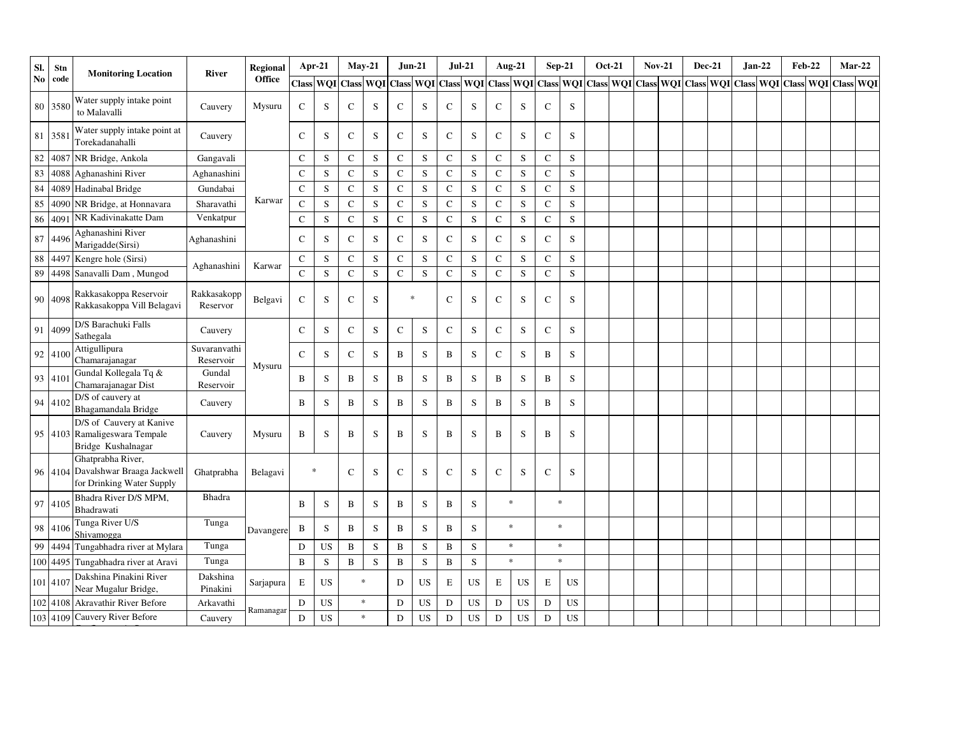| SI.    | Stn      | <b>Monitoring Location</b>                                                           | River                     | Regional      |                | Apr-21    |              | $May-21$                | <b>Jun-21</b> |             | $Jul-21$      |           |              | Aug-21 $\,$            |               | $Sep-21$    | <b>Oct-21</b> | <b>Nov-21</b> |  | <b>Dec-21</b> | $Jan-22$ | <b>Feb-22</b> | $Mar-22$                                                                  |  |
|--------|----------|--------------------------------------------------------------------------------------|---------------------------|---------------|----------------|-----------|--------------|-------------------------|---------------|-------------|---------------|-----------|--------------|------------------------|---------------|-------------|---------------|---------------|--|---------------|----------|---------------|---------------------------------------------------------------------------|--|
| No     | code     |                                                                                      |                           | <b>Office</b> |                | Class WQI | <b>Class</b> | WQI Class WQI Class WQI |               |             |               |           |              | <b>Class WQI</b> Class |               |             |               |               |  |               |          |               | WQI Class WQI Class WQI Class WQI Class WQI Class WQI Class WQI Class WQI |  |
|        | 80 3580  | Water supply intake point<br>to Malavalli                                            | Cauvery                   | Mysuru        | C              | S         | C            | S                       | $\mathsf C$   | S           | $\mathsf{C}$  | S         | $\mathsf{C}$ | S                      | $\mathbf C$   | S           |               |               |  |               |          |               |                                                                           |  |
| 81     | 3581     | Water supply intake point at<br>Torekadanahalli                                      | Cauvery                   |               | $\mathsf{C}$   | S         | $\mathsf{C}$ | S                       | $\mathbf C$   | S           | $\mathsf{C}$  | S         | $\mathsf{C}$ | S                      | $\mathbf C$   | S           |               |               |  |               |          |               |                                                                           |  |
| $82\,$ | 4087     | NR Bridge, Ankola                                                                    | Gangavali                 |               | $\mathcal{C}$  | S         | C            | S                       | $\mathbf C$   | S           | C             | S         | $\mathbf C$  | S                      | $\mathbf C$   | S           |               |               |  |               |          |               |                                                                           |  |
| 83     | 4088     | Aghanashini River                                                                    | Aghanashini               |               | $\mathbf C$    | S         | $\mathbf{C}$ | S                       | $\mathbf C$   | S           | $\mathbf C$   | S         | $\mathbf C$  | S                      | $\mathbf C$   | S           |               |               |  |               |          |               |                                                                           |  |
| 84     | 4089     | Hadinabal Bridge                                                                     | Gundabai                  |               | $\mathcal{C}$  | S         | $\mathbf C$  | S                       | $\mathbf C$   | S           | $\mathsf{C}$  | S         | $\mathbf C$  | S                      | $\mathbf C$   | S           |               |               |  |               |          |               |                                                                           |  |
| 85     | 4090     | NR Bridge, at Honnavara                                                              | Sharavathi                | Karwar        | $\overline{C}$ | S         | $\mathbf{C}$ | S                       | $\mathbf C$   | S           | $\mathbf C$   | ${\bf S}$ | $\mathbf C$  | S                      | $\mathbf C$   | S           |               |               |  |               |          |               |                                                                           |  |
| 86     | 409      | NR Kadivinakatte Dam                                                                 | Venkatpur                 |               | $\mathbf C$    | ${\bf S}$ | $\mathbf C$  | ${\bf S}$               | ${\bf C}$     | ${\bf S}$   | $\mathbf C$   | ${\bf S}$ | $\mathbf C$  | S                      | $\mathbf C$   | S           |               |               |  |               |          |               |                                                                           |  |
| 87     | 4496     | Aghanashini River<br>Marigadde(Sirsi)                                                | Aghanashini               |               | $\mathbf C$    | S         | ${\bf C}$    | S                       | $\mathbf C$   | S           | $\mathbf C$   | S         | $\mathbf C$  | S                      | $\mathbf C$   | S           |               |               |  |               |          |               |                                                                           |  |
|        | 88 4497  | Kengre hole (Sirsi)                                                                  |                           |               | $\mathbf C$    | S         | C            | S                       | ${\bf C}$     | $\mathbf S$ | $\mathsf{C}$  | ${\bf S}$ | $\mathbf C$  | S                      | $\mathbf C$   | S           |               |               |  |               |          |               |                                                                           |  |
| 89     | 4498     | Sanavalli Dam, Mungod                                                                | Aghanashini               | Karwar        | $\mathbf C$    | ${\bf S}$ | $\mathbf C$  | S                       | ${\bf C}$     | $\mathbf S$ | $\mathbf C$   | S         | $\mathbf C$  | S                      | $\mathbf C$   | S           |               |               |  |               |          |               |                                                                           |  |
|        | 90 4098  | Rakkasakoppa Reservoir<br>Rakkasakoppa Vill Belagavi                                 | Rakkasakopp<br>Reservor   | Belgavi       | $\mathsf{C}$   | S         | C            | S                       | $\ast$        |             | $\mathcal{C}$ | S         | $\mathsf{C}$ | S                      | $\mathcal{C}$ | S           |               |               |  |               |          |               |                                                                           |  |
|        | 91 4099  | D/S Barachuki Falls<br>Sathegala                                                     | Cauvery                   |               | $\mathsf{C}$   | S         | $\mathbf C$  | S                       | $\mathbf C$   | S           | $\mathbf C$   | S         | $\mathsf{C}$ | S                      | $\mathbf C$   | S           |               |               |  |               |          |               |                                                                           |  |
|        | 92 4100  | Attigullipura<br>Chamarajanagar                                                      | Suvaranvathi<br>Reservoir | Mysuru        | C              | S         | C            | S                       | B             | S           | B             | S         | С            | S                      | B             | S           |               |               |  |               |          |               |                                                                           |  |
|        | 93 4101  | Gundal Kollegala Tq &<br>Chamarajanagar Dist                                         | Gundal<br>Reservoir       |               | B              | S         | $\, {\bf B}$ | ${\bf S}$               | $\, {\bf B}$  | $\mathbf S$ | $\, {\bf B}$  | S         | B            | $\mathbf S$            | $\, {\bf B}$  | $\mathbf S$ |               |               |  |               |          |               |                                                                           |  |
|        | 94 4102  | D/S of cauvery at<br>Bhagamandala Bridge                                             | Cauvery                   |               | B              | S         | B            | S                       | $\, {\bf B}$  | $\mathbf S$ | B             | S         | B            | ${\bf S}$              | B             | $\mathbf S$ |               |               |  |               |          |               |                                                                           |  |
|        |          | D/S of Cauvery at Kanive<br>95 4103 Ramaligeswara Tempale<br>Bridge Kushalnagar      | Cauvery                   | Mysuru        | B              | S         | B            | S                       | $\, {\bf B}$  | S           | B             | S         | B            | S                      | B             | S           |               |               |  |               |          |               |                                                                           |  |
|        |          | Ghatprabha River,<br>96 4104 Davalshwar Braaga Jackwell<br>for Drinking Water Supply | Ghatprabha                | Belagavi      | $\ast$         |           | $\mathbf C$  | S                       | $\mathsf C$   | S           | $\mathsf{C}$  | S         | $\mathbf C$  | S                      | $\mathbf C$   | S           |               |               |  |               |          |               |                                                                           |  |
|        | 97 4105  | Bhadra River D/S MPM,<br>Bhadrawati                                                  | Bhadra                    |               | B              | S         | B            | S                       | B             | S           | B             | S         |              | $\ast$                 |               | $\ast$      |               |               |  |               |          |               |                                                                           |  |
|        | 98 4106  | Tunga River U/S<br>Shivamogga                                                        | Tunga                     | Davangere     | B              | S         | B            | S                       | $\, {\bf B}$  | S           | $\mathbf{B}$  | S         |              | $\ast$                 |               | $\ast$      |               |               |  |               |          |               |                                                                           |  |
| 99     | 4494     | Tungabhadra river at Mylara                                                          | Tunga                     |               | D              | <b>US</b> | $\, {\bf B}$ | ${\bf S}$               | $\, {\bf B}$  | S           | $\mathbf B$   | S         |              | $\ast$                 |               | $\ast$      |               |               |  |               |          |               |                                                                           |  |
|        | 100 4495 | Tungabhadra river at Aravi                                                           | Tunga                     |               | B              | ${\bf S}$ | B            | $\mathbf S$             | $\, {\bf B}$  | $\mathbf S$ | $\, {\bf B}$  | S         |              | $\ast$                 |               | $\ast$      |               |               |  |               |          |               |                                                                           |  |
|        | 101 4107 | Dakshina Pinakini River<br>Near Mugalur Bridge,                                      | Dakshina<br>Pinakini      | Sarjapura     | $\mathbf E$    | <b>US</b> |              | $\ast$                  | D             | <b>US</b>   | E             | <b>US</b> | E            | US                     | E             | <b>US</b>   |               |               |  |               |          |               |                                                                           |  |
|        | 102 4108 | <b>Akravathir River Before</b>                                                       | Arkavathi                 |               | D              | US        |              | $\ast$                  | D             | <b>US</b>   | D             | <b>US</b> | ${\rm D}$    | <b>US</b>              | D             | <b>US</b>   |               |               |  |               |          |               |                                                                           |  |
|        |          | 103 4109 Cauvery River Before                                                        | Cauvery                   | Ramanagar     | D              | US        |              | $\ast$                  | $\mathbf D$   | US          | D             | <b>US</b> | D            | $_{\rm US}$            | ${\bf D}$     | US          |               |               |  |               |          |               |                                                                           |  |

Confluence At Sangam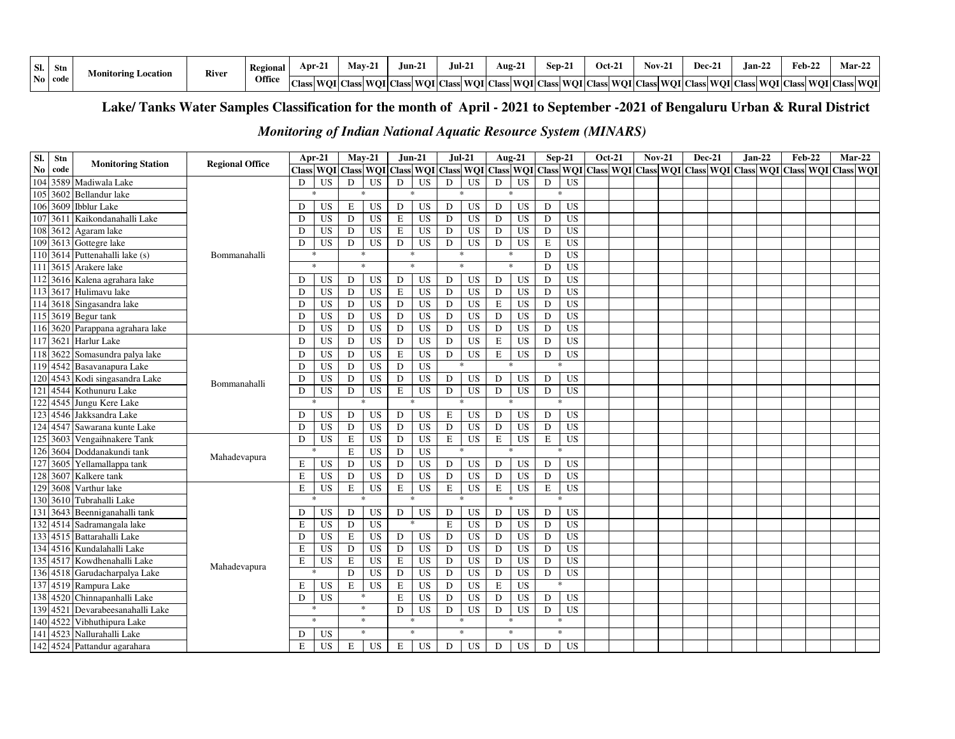| - SI.          | <b>Stn</b> | Monitoring Location | River | Regional | Apr-2        | May-2 | $\lim_{\Delta}$ | $Jul-21$ | - - -<br>Aug-21 | $Sep-2$ | <b>Oct-21</b> | $Nov-2.$ | Dec-21 | $\sim$<br>.lan-22 | $Feb-2.$                                                                                                                                                           | $Mar-22$ |
|----------------|------------|---------------------|-------|----------|--------------|-------|-----------------|----------|-----------------|---------|---------------|----------|--------|-------------------|--------------------------------------------------------------------------------------------------------------------------------------------------------------------|----------|
| $\mathbf{N_0}$ | l code     |                     |       | Office   | <b>Class</b> |       |                 |          |                 |         |               |          |        |                   | s  WOI   Class  WOI   Class  WOI   Class  WOI   Class  WOI   Class  WOI   Class  WOI   Class  WOI   Class  WOI   Class  WOI   Class  WOI   Class  WOI   Class  WOI |          |

# **Lake/ Tanks Water Samples Classification for the month of April - 2021 to September -2021 of Bengaluru Urban & Rural District**

# *Monitoring of Indian National Aquatic Resource System (MINARS)*

| SI.              | Stn  | <b>Monitoring Station</b>    | <b>Regional Office</b> |           | Apr-21    |             | $Mav-21$                                          |              | $Jun-21$        | $Jul-21$                |                 |             | Aug-21          | $Sep-21$    |                                               | <b>Oct-21</b> | <b>Nov-21</b> |  | <b>Dec-21</b> | $Jan-22$ | <b>Feb-22</b>           |  | $Mar-22$ |
|------------------|------|------------------------------|------------------------|-----------|-----------|-------------|---------------------------------------------------|--------------|-----------------|-------------------------|-----------------|-------------|-----------------|-------------|-----------------------------------------------|---------------|---------------|--|---------------|----------|-------------------------|--|----------|
| N <sub>0</sub>   | code |                              |                        |           |           |             | Class WQI Class WQI Class WQI Class WQI Class WQI |              |                 |                         |                 |             |                 |             | Class WQI Class WQI Class WQI Class WQI Class |               |               |  |               |          | WQI Class WQI Class WQI |  |          |
| 104              | 3589 | Madiwala Lake                |                        | D         | US        | D           | <b>US</b>                                         | D            | <b>US</b>       | D                       | <b>US</b>       | D           | <b>US</b>       | D           | <b>US</b>                                     |               |               |  |               |          |                         |  |          |
| 105              | 3602 | Bellandur lake               |                        |           | $\ast$    |             | $\ast$                                            |              | $\mathbf{x}$    | sk.                     |                 |             | $\mathbf{x}$    |             | $\ast$                                        |               |               |  |               |          |                         |  |          |
| 106              | 3609 | <b>Ibblur</b> Lake           |                        | D         | <b>US</b> | E           | <b>US</b>                                         | D            | <b>US</b>       | D                       | <b>US</b>       | D           | <b>US</b>       | D           | US                                            |               |               |  |               |          |                         |  |          |
| 107              | 361  | Kaikondanahalli Lake         |                        | D         | <b>US</b> | D           | <b>US</b>                                         | E            | US              | ${\rm D}$               | <b>US</b>       | $\mathbf D$ | <b>US</b>       | D           | US                                            |               |               |  |               |          |                         |  |          |
| 108              | 3612 | Agaram lake                  |                        | D         | <b>US</b> | D           | <b>US</b>                                         | $\bf E$      | <b>US</b>       | D                       | <b>US</b>       | D           | US              | D           | <b>US</b>                                     |               |               |  |               |          |                         |  |          |
| 109              | 3613 | Gottegre lake                |                        | D         | <b>US</b> | ${\rm D}$   | <b>US</b>                                         | D            | <b>US</b>       | D                       | <b>US</b>       | ${\bf D}$   | US              | E           | US                                            |               |               |  |               |          |                         |  |          |
| 110              | 3614 | Puttenahalli lake (s)        | Bommanahalli           |           | $\ast$    |             | $\mathbf{x}$                                      |              | $\ast$          | $\ast$                  |                 |             | $\ast$          | D           | <b>US</b>                                     |               |               |  |               |          |                         |  |          |
| 111              | 3615 | Arakere lake                 |                        |           | $\star$   |             | $\ast$                                            | $\mathbf{x}$ |                 | $\ast$                  |                 |             | $\ast$          | D           | <b>US</b>                                     |               |               |  |               |          |                         |  |          |
| 112              | 3616 | Kalena agrahara lake         |                        | D         | <b>US</b> | D           | <b>US</b>                                         | D            | <b>US</b>       | D                       | <b>US</b>       | D           | <b>US</b>       | D           | <b>US</b>                                     |               |               |  |               |          |                         |  |          |
| 113              | 3617 | Hulimavu lake                |                        | D         | <b>US</b> | D           | <b>US</b>                                         | E            | $\overline{US}$ | D                       | $\overline{US}$ | D           | <b>US</b>       | D           | $\overline{US}$                               |               |               |  |               |          |                         |  |          |
| 114              | 3618 | Singasandra lake             |                        | D         | <b>US</b> | D           | <b>US</b>                                         | D            | <b>US</b>       | ${\rm D}$               | <b>US</b>       | $\mathbf E$ | <b>US</b>       | D           | <b>US</b>                                     |               |               |  |               |          |                         |  |          |
| 115              | 3619 | Begur tank                   |                        | D         | <b>US</b> | $\mathbf D$ | <b>US</b>                                         | D            | <b>US</b>       | D                       | <b>US</b>       | D           | US              | D           | <b>US</b>                                     |               |               |  |               |          |                         |  |          |
| 116              |      | 3620 Parappana agrahara lake |                        | D         | <b>US</b> | D           | <b>US</b>                                         | D            | <b>US</b>       | D                       | <b>US</b>       | D           | US              | D           | <b>US</b>                                     |               |               |  |               |          |                         |  |          |
| 117              | 3621 | Harlur Lake                  |                        | D         | <b>US</b> | D           | <b>US</b>                                         | D            | <b>US</b>       | D                       | <b>US</b>       | $\mathbf E$ | <b>US</b>       | D           | <b>US</b>                                     |               |               |  |               |          |                         |  |          |
| 118              | 3622 | Somasundra palya lake        |                        | D         | <b>US</b> | D           | $\overline{US}$                                   | E            | $\overline{US}$ | D                       | <b>US</b>       | $\mathbf E$ | $\overline{US}$ | D           | <b>US</b>                                     |               |               |  |               |          |                         |  |          |
|                  |      | 119 4542 Basavanapura Lake   |                        | D         | <b>US</b> | D           | <b>US</b>                                         | D            | <b>US</b>       | $\ast$                  |                 |             | 永               |             | $\ast$                                        |               |               |  |               |          |                         |  |          |
| 120              | 4543 | Kodi singasandra Lake        | Bommanahalli           | D         | <b>US</b> | D           | <b>US</b>                                         | D            | <b>US</b>       | D                       | <b>US</b>       | D           | <b>US</b>       | D           | <b>US</b>                                     |               |               |  |               |          |                         |  |          |
| 121              | 4544 | Kothunuru Lake               |                        | D         | <b>US</b> | ${\rm D}$   | <b>US</b>                                         | E            | <b>US</b>       | $\mathbf D$             | <b>US</b>       | ${\bf D}$   | <b>US</b>       | D           | <b>US</b>                                     |               |               |  |               |          |                         |  |          |
| 122              | 4545 | Jungu Kere Lake              |                        |           | $\ast$    |             | $\ast$                                            |              | $\frac{1}{2}$   | $\ast$                  |                 |             | $\ast$          |             | $\ast$                                        |               |               |  |               |          |                         |  |          |
| 123              | 4546 | Jakksandra Lake              |                        | D         | <b>US</b> | ${\rm D}$   | <b>US</b>                                         | D            | <b>US</b>       | E                       | US              | ${\bf D}$   | <b>US</b>       | D           | US                                            |               |               |  |               |          |                         |  |          |
| 124              | 4547 | Sawarana kunte Lake          |                        | D         | <b>US</b> | $\mathbf D$ | <b>US</b>                                         | D            | <b>US</b>       | $\mathbf D$             | <b>US</b>       | ${\bf D}$   | US              | D           | <b>US</b>                                     |               |               |  |               |          |                         |  |          |
| $\overline{125}$ | 3603 | Vengaihnakere Tank           |                        | D         | <b>US</b> | $\mathbf E$ | <b>US</b>                                         | D            | <b>US</b>       | $\mathbf E$             | <b>US</b>       | $\mathbf E$ | <b>US</b>       | E           | <b>US</b>                                     |               |               |  |               |          |                         |  |          |
| 126              | 3604 | Doddanakundi tank            | Mahadevapura           |           |           | E           | <b>US</b>                                         | D            | $\overline{US}$ |                         |                 |             | $\ast$          |             | $\ast$                                        |               |               |  |               |          |                         |  |          |
| 127              | 3605 | Yellamallappa tank           |                        | E         | <b>US</b> | D           | <b>US</b>                                         | D            | <b>US</b>       | D                       | <b>US</b>       | D           | <b>US</b>       | D           | <b>US</b>                                     |               |               |  |               |          |                         |  |          |
| 128              | 3607 | Kalkere tank                 |                        | E         | <b>US</b> | D           | <b>US</b>                                         | D            | <b>US</b>       | D                       | <b>US</b>       | D           | <b>US</b>       | D           | <b>US</b>                                     |               |               |  |               |          |                         |  |          |
| 129              | 3608 | Varthur lake                 |                        | ${\bf E}$ | US        | ${\bf E}$   | <b>US</b>                                         | $\mathbf E$  | US              | $\overline{\mathrm{E}}$ | US              | $\mathbf E$ | <b>US</b>       | $\mathbf E$ | US                                            |               |               |  |               |          |                         |  |          |
| 130              | 3610 | Tubrahalli Lake              |                        |           |           |             |                                                   |              |                 |                         |                 |             | ×.              |             | $\ast$                                        |               |               |  |               |          |                         |  |          |
| 131              | 3643 | Beenniganahalli tank         |                        | D         | <b>US</b> | D           | <b>US</b>                                         | ${\bf D}$    | $_{\rm US}$     | D                       | US              | D           | <b>US</b>       | D           | <b>US</b>                                     |               |               |  |               |          |                         |  |          |
| 132              | 4514 | Sadramangala lake            |                        | E         | <b>US</b> | D           | <b>US</b>                                         |              | ×.              | $\mathbf E$             | <b>US</b>       | D           | <b>US</b>       | D           | <b>US</b>                                     |               |               |  |               |          |                         |  |          |
| 133              | 4515 | Battarahalli Lake            |                        | D         | <b>US</b> | E           | <b>US</b>                                         | D            | <b>US</b>       | D                       | <b>US</b>       | D           | <b>US</b>       | D           | <b>US</b>                                     |               |               |  |               |          |                         |  |          |
| 134              | 4516 | Kundalahalli Lake            |                        | E         | <b>US</b> | D           | <b>US</b>                                         | D            | <b>US</b>       | $\mathbf{D}$            | $\overline{US}$ | D           | $\overline{US}$ | D           | <b>US</b>                                     |               |               |  |               |          |                         |  |          |
| 135              | 4517 | Kowdhenahalli Lake           | Mahadevapura           | E         | <b>US</b> | E           | <b>US</b>                                         | E            | <b>US</b>       | D                       | <b>US</b>       | D           | <b>US</b>       | D           | <b>US</b>                                     |               |               |  |               |          |                         |  |          |
| 136              | 4518 | Garudacharpalya Lake         |                        |           |           | D           | <b>US</b>                                         | D            | US              | ${\rm D}$               | <b>US</b>       | D           | US              | D           | <b>US</b>                                     |               |               |  |               |          |                         |  |          |
| 137              | 4519 | Rampura Lake                 |                        | Е         | <b>US</b> | $\mathbf E$ | US                                                | $\bf E$      | <b>US</b>       | $\mathbf D$             | <b>US</b>       | $\mathbf E$ | US              |             | $\ast$                                        |               |               |  |               |          |                         |  |          |
| 138              |      | 4520 Chinnapanhalli Lake     |                        | D.        | <b>US</b> |             | $\ast$                                            | E            | <b>US</b>       | D                       | <b>US</b>       | D           | <b>US</b>       | D           | <b>US</b>                                     |               |               |  |               |          |                         |  |          |
| 139              | 4521 | Devarabeesanahalli Lake      |                        |           | $\ast$    |             | $\ast$                                            | ${\bf D}$    | <b>US</b>       | D                       | <b>US</b>       | D           | <b>US</b>       | D           | US                                            |               |               |  |               |          |                         |  |          |
| 140              | 4522 | Vibhuthipura Lake            |                        |           | $\ast$    |             | $\ast$                                            | $\ast$       |                 | $\ast$                  |                 |             | $\ast$          |             | $\ast$                                        |               |               |  |               |          |                         |  |          |
| 141              | 4523 | Nallurahalli Lake            |                        | D         | US        |             | $\ast$                                            |              | $\ast$          | $\ast$                  |                 |             | $\ast$          |             | $\ast$                                        |               |               |  |               |          |                         |  |          |
| 142              |      | 4524 Pattandur agarahara     |                        | E         | <b>US</b> | E           | US                                                | E            | <b>US</b>       | D                       | <b>US</b>       | D           | <b>US</b>       | D           | <b>US</b>                                     |               |               |  |               |          |                         |  |          |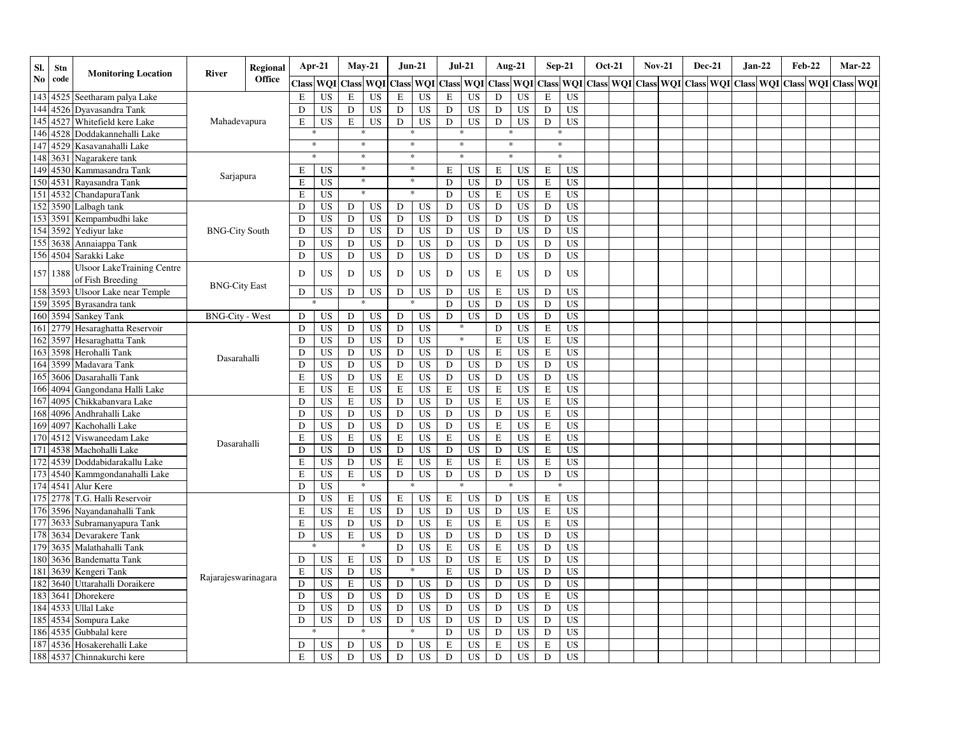| SI.            | Stn      | <b>Monitoring Location</b>                            | River                  | <b>Regional</b> |           | Apr-21    | $May-21$    |           |              | <b>Jun-21</b>  | <b>Jul-21</b> |           |             | <b>Aug-21</b>    |              | $Sep-21$        | <b>Oct-21</b>       | <b>Nov-21</b> | <b>Dec-21</b>                 |  | $Jan-22$ | <b>Feb-22</b> |                  | $Mar-22$ |
|----------------|----------|-------------------------------------------------------|------------------------|-----------------|-----------|-----------|-------------|-----------|--------------|----------------|---------------|-----------|-------------|------------------|--------------|-----------------|---------------------|---------------|-------------------------------|--|----------|---------------|------------------|----------|
| N <sub>0</sub> | code     |                                                       |                        | <b>Office</b>   |           | Class WQI |             | Class WQI | <b>Class</b> |                | WQI Class WQI |           |             | <b>Class WOI</b> | <b>Class</b> | <b>WOI</b>      | Class WOI Class WOI |               | Class WOI Class WOI Class WOI |  |          |               | <b>Class WOI</b> |          |
| 143            | 4525     | Seetharam palya Lake                                  |                        |                 | ${\bf E}$ | <b>US</b> | $\mathbf E$ | <b>US</b> | $\mathbf E$  | <b>US</b>      | $\mathbf E$   | <b>US</b> | $\mathbf D$ | <b>US</b>        | ${\bf E}$    | <b>US</b>       |                     |               |                               |  |          |               |                  |          |
|                | 144 4526 | Dvavasandra Tank                                      |                        |                 | D         | <b>US</b> | ${\rm D}$   | <b>US</b> | D            | <b>US</b>      | $\mathbf D$   | <b>US</b> | ${\bf D}$   | <b>US</b>        | D            | <b>US</b>       |                     |               |                               |  |          |               |                  |          |
| 145            | 4527     | Whitefield kere Lake                                  | Mahadevapura           |                 | E         | <b>US</b> | E           | <b>US</b> | D            | <b>US</b>      | ${\rm D}$     | <b>US</b> | D           | <b>US</b>        | D            | <b>US</b>       |                     |               |                               |  |          |               |                  |          |
| 146            | 4528     | Doddakannehalli Lake                                  |                        |                 |           |           |             | $\ast$    |              | $\ast$         |               |           | $\ast$      |                  |              | $\ast$          |                     |               |                               |  |          |               |                  |          |
| 147            | 4529     | Kasavanahalli Lake                                    |                        |                 |           | $\ast$    |             | $\ast$    |              | $\ast$         |               | $\ast$    |             | $\ast$           |              | $\ast$          |                     |               |                               |  |          |               |                  |          |
| 148            | 3631     | Nagarakere tank                                       |                        |                 |           | $\ast$    |             | $\ast$    |              | $\ast$         | $\ast$        |           |             | $\ast$           |              | $\ast$          |                     |               |                               |  |          |               |                  |          |
| 149            | 4530     | Kammasandra Tank                                      | Sarjapura              |                 | Е         | <b>US</b> |             | $\ast$    |              | $\ast$         | E             | <b>US</b> | E           | US               | E            | US              |                     |               |                               |  |          |               |                  |          |
| 150            | 4531     | Rayasandra Tank                                       |                        |                 | E         | US        |             | $\ast$    |              | $\ast$         | $\mathbf D$   | <b>US</b> | D           | <b>US</b>        | E            | US              |                     |               |                               |  |          |               |                  |          |
|                | 151 4532 | ChandapuraTank                                        |                        |                 | E         | US        |             | $\ast$    |              | $\mathbf{g}_k$ | $\mathbf D$   | <b>US</b> | $\mathbf E$ | <b>US</b>        | $\mathbf E$  | <b>US</b>       |                     |               |                               |  |          |               |                  |          |
| 152            | 3590     | Lalbagh tank                                          |                        |                 | D         | <b>US</b> | D           | US        | $\mathbf D$  | <b>US</b>      | $\mathbf D$   | <b>US</b> | $\mathbf D$ | <b>US</b>        | D            | <b>US</b>       |                     |               |                               |  |          |               |                  |          |
| 153            | 3591     | Kempambudhi lake                                      |                        |                 | D         | <b>US</b> | D           | <b>US</b> | D            | <b>US</b>      | ${\rm D}$     | <b>US</b> | $\mathbf D$ | <b>US</b>        | D            | <b>US</b>       |                     |               |                               |  |          |               |                  |          |
|                | 154 3592 | Yediyur lake                                          | <b>BNG-City South</b>  |                 | D         | <b>US</b> | D           | <b>US</b> | D            | <b>US</b>      | D             | <b>US</b> | $\mathbf D$ | <b>US</b>        | D            | <b>US</b>       |                     |               |                               |  |          |               |                  |          |
|                | 155 3638 | Annaiappa Tank                                        |                        |                 | D         | <b>US</b> | $\mathbf D$ | <b>US</b> | D            | <b>US</b>      | $\mathbf D$   | <b>US</b> | $\mathbf D$ | US               | D            | $\overline{US}$ |                     |               |                               |  |          |               |                  |          |
|                | 156 4504 | Sarakki Lake                                          |                        |                 | D         | <b>US</b> | ${\bf D}$   | <b>US</b> | $\mathbf D$  | <b>US</b>      | $\mathbf D$   | <b>US</b> | $\mathbf D$ | US               | $\mathbf D$  | <b>US</b>       |                     |               |                               |  |          |               |                  |          |
|                | 157 1388 | <b>Ulsoor LakeTraining Centre</b><br>of Fish Breeding |                        |                 | D         | US        | D           | <b>US</b> | D            | <b>US</b>      | D             | <b>US</b> | $\mathbf E$ | <b>US</b>        | D            | <b>US</b>       |                     |               |                               |  |          |               |                  |          |
|                | 158 3593 | <b>Ulsoor Lake near Temple</b>                        | <b>BNG-City East</b>   |                 | D         | US        | D           | <b>US</b> | D            | <b>US</b>      | D             | <b>US</b> | $\mathbf E$ | <b>US</b>        | D            | US              |                     |               |                               |  |          |               |                  |          |
|                | 159 3595 | Byrasandra tank                                       |                        |                 |           |           |             |           |              |                | D             | <b>US</b> | D           | <b>US</b>        | D            | <b>US</b>       |                     |               |                               |  |          |               |                  |          |
| 160            | 3594     | <b>Sankey Tank</b>                                    | <b>BNG-City - West</b> |                 | D         | US        | D           | <b>US</b> | D            | <b>US</b>      | $\mathbf D$   | <b>US</b> | D           | <b>US</b>        | D            | <b>US</b>       |                     |               |                               |  |          |               |                  |          |
|                | 161 2779 | Hesaraghatta Reservoir                                |                        |                 | D         | <b>US</b> | D           | <b>US</b> | D            | <b>US</b>      | *             |           | D           | <b>US</b>        | ${\bf E}$    | <b>US</b>       |                     |               |                               |  |          |               |                  |          |
| 162            | 3597     | Hesaraghatta Tank                                     |                        |                 | D         | <b>US</b> | D           | <b>US</b> | D            | <b>US</b>      |               | $\ast$    | $\mathbf E$ | <b>US</b>        | E            | <b>US</b>       |                     |               |                               |  |          |               |                  |          |
| 163            | 3598     | Herohalli Tank                                        |                        |                 | D         | <b>US</b> | D           | <b>US</b> | D            | <b>US</b>      | D             | <b>US</b> | $\mathbf E$ | <b>US</b>        | ${\bf E}$    | <b>US</b>       |                     |               |                               |  |          |               |                  |          |
|                | 164 3599 | Madavara Tank                                         | Dasarahalli            |                 | D         | <b>US</b> | $\mathbf D$ | <b>US</b> | D            | <b>US</b>      | ${\rm D}$     | US        | D           | <b>US</b>        | D            | <b>US</b>       |                     |               |                               |  |          |               |                  |          |
| 165            | 3606     | Dasarahalli Tank                                      |                        |                 | ${\bf E}$ | <b>US</b> | $\mathbf D$ | <b>US</b> | $\mathbf E$  | <b>US</b>      | D             | US        | $\mathbf D$ | US               | D            | <b>US</b>       |                     |               |                               |  |          |               |                  |          |
| 166            | 4094     | Gangondana Halli Lake                                 |                        |                 | E         | <b>US</b> | E           | <b>US</b> | $\mathbf E$  | <b>US</b>      | ${\bf E}$     | US        | ${\bf E}$   | US               | $\mathbf E$  | <b>US</b>       |                     |               |                               |  |          |               |                  |          |
| 167            | 4095     | Chikkabanvara Lake                                    |                        |                 | D         | <b>US</b> | E           | <b>US</b> | D            | <b>US</b>      | D             | <b>US</b> | $\mathbf E$ | <b>US</b>        | E            | <b>US</b>       |                     |               |                               |  |          |               |                  |          |
| 168            | 4096     | Andhrahalli Lake                                      |                        |                 | D         | <b>US</b> | $\mathbf D$ | <b>US</b> | D            | <b>US</b>      | D             | <b>US</b> | ${\bf D}$   | <b>US</b>        | E            | <b>US</b>       |                     |               |                               |  |          |               |                  |          |
| 169            | 409      | Kachohalli Lake                                       |                        |                 | D         | <b>US</b> | D           | <b>US</b> | $\mathbf D$  | <b>US</b>      | D             | <b>US</b> | E           | <b>US</b>        | E            | <b>US</b>       |                     |               |                               |  |          |               |                  |          |
| 170            | 4512     | Viswaneedam Lake                                      |                        |                 | E         | US        | $\mathbf E$ | <b>US</b> | $\mathbf E$  | <b>US</b>      | $\mathbf E$   | <b>US</b> | $\mathbf E$ | <b>US</b>        | ${\bf E}$    | <b>US</b>       |                     |               |                               |  |          |               |                  |          |
| 171            | 4538     | Machohalli Lake                                       | Dasarahalli            |                 | D         | <b>US</b> | $\mathbf D$ | <b>US</b> | D            | <b>US</b>      | D             | <b>US</b> | D           | <b>US</b>        | ${\bf E}$    | <b>US</b>       |                     |               |                               |  |          |               |                  |          |
| 172            | 4539     | Doddabidarakallu Lake                                 |                        |                 | E         | <b>US</b> | ${\bf D}$   | <b>US</b> | $\mathbf E$  | <b>US</b>      | $\mathbf E$   | <b>US</b> | $\mathbf E$ | <b>US</b>        | E            | <b>US</b>       |                     |               |                               |  |          |               |                  |          |
| 173            | 4540     | Kammgondanahalli Lake                                 |                        |                 | E         | <b>US</b> | $\mathbf E$ | <b>US</b> | D            | <b>US</b>      | D             | <b>US</b> | $\mathbf D$ | <b>US</b>        | D            | <b>US</b>       |                     |               |                               |  |          |               |                  |          |
|                | 174 4541 | Alur Kere                                             |                        |                 | D         | US        |             |           |              |                |               |           |             |                  |              |                 |                     |               |                               |  |          |               |                  |          |
| $\boxed{175}$  | 2778     | T.G. Halli Reservoir                                  |                        |                 | D         | <b>US</b> | E           | <b>US</b> | $\mathbf E$  | <b>US</b>      | E             | <b>US</b> | $\mathbf D$ | <b>US</b>        | E            | <b>US</b>       |                     |               |                               |  |          |               |                  |          |
|                | 176 3596 | Nayandanahalli Tank                                   |                        |                 | E         | <b>US</b> | E           | <b>US</b> | D            | <b>US</b>      | ${\rm D}$     | <b>US</b> | ${\bf D}$   | <b>US</b>        | $\mathbf E$  | <b>US</b>       |                     |               |                               |  |          |               |                  |          |
|                | 177 3633 | Subramanyapura Tank                                   |                        |                 | E         | <b>US</b> | ${\bf D}$   | <b>US</b> | D            | <b>US</b>      | E             | <b>US</b> | E           | <b>US</b>        | $\mathbf E$  | <b>US</b>       |                     |               |                               |  |          |               |                  |          |
| 178            | 3634     | Devarakere Tank                                       |                        |                 | D         | <b>US</b> | E           | <b>US</b> | D            | <b>US</b>      | D             | <b>US</b> | ${\bf D}$   | <b>US</b>        | D            | US              |                     |               |                               |  |          |               |                  |          |
| 179            | 3635     | Malathahalli Tank                                     |                        |                 |           |           |             |           | D            | <b>US</b>      | E             | <b>US</b> | E           | <b>US</b>        | D            | US              |                     |               |                               |  |          |               |                  |          |
| 180            | 3636     | <b>Bandematta Tank</b>                                |                        |                 | D         | US        | E           | US        | $\mathbf D$  | <b>US</b>      | D             | <b>US</b> | $\mathbf E$ | <b>US</b>        | D            | <b>US</b>       |                     |               |                               |  |          |               |                  |          |
| 181            | 3639     | Kengeri Tank                                          |                        |                 | E         | <b>US</b> | ${\bf D}$   | <b>US</b> |              | *              | $\mathbf E$   | <b>US</b> | D           | <b>US</b>        | D            | <b>US</b>       |                     |               |                               |  |          |               |                  |          |
| 182            | 3640     | Uttarahalli Doraikere                                 | Rajarajeswarinagara    |                 | D         | <b>US</b> | $\mathbf E$ | <b>US</b> | D            | <b>US</b>      | $\mathbf{D}$  | <b>US</b> | $\mathbf D$ | <b>US</b>        | D            | <b>US</b>       |                     |               |                               |  |          |               |                  |          |
| 183            | 364      | Dhorekere                                             |                        |                 | D         | <b>US</b> | ${\bf D}$   | <b>US</b> | D            | <b>US</b>      | D             | <b>US</b> | ${\bf D}$   | <b>US</b>        | E            | <b>US</b>       |                     |               |                               |  |          |               |                  |          |
|                | 184 4533 | <b>Ullal Lake</b>                                     |                        |                 | D         | <b>US</b> | $\mathbf D$ | <b>US</b> | D            | <b>US</b>      | ${\bf D}$     | <b>US</b> | $\mathbf D$ | <b>US</b>        | D            | <b>US</b>       |                     |               |                               |  |          |               |                  |          |
| 185            | 4534     | Sompura Lake                                          |                        |                 | D         | <b>US</b> | $\mathbf D$ | <b>US</b> | D            | <b>US</b>      | D             | <b>US</b> | ${\bf D}$   | <b>US</b>        | D            | <b>US</b>       |                     |               |                               |  |          |               |                  |          |
| 186            | 4535     | Gubbalal kere                                         |                        |                 |           |           |             |           |              |                | D             | <b>US</b> | ${\bf D}$   | <b>US</b>        | D            | <b>US</b>       |                     |               |                               |  |          |               |                  |          |
| 187            | 4536     | Hosakerehalli Lake                                    |                        |                 | D         | US        | D           | <b>US</b> | D            | US             | E             | <b>US</b> | E           | <b>US</b>        | E            | <b>US</b>       |                     |               |                               |  |          |               |                  |          |
|                |          | 188 4537 Chinnakurchi kere                            |                        |                 | E         | <b>US</b> | $\mathbf D$ | <b>US</b> | D            | <b>US</b>      | D             | US        | ${\bf D}$   | <b>US</b>        | D            | <b>US</b>       |                     |               |                               |  |          |               |                  |          |
|                |          |                                                       |                        |                 |           |           |             |           |              |                |               |           |             |                  |              |                 |                     |               |                               |  |          |               |                  |          |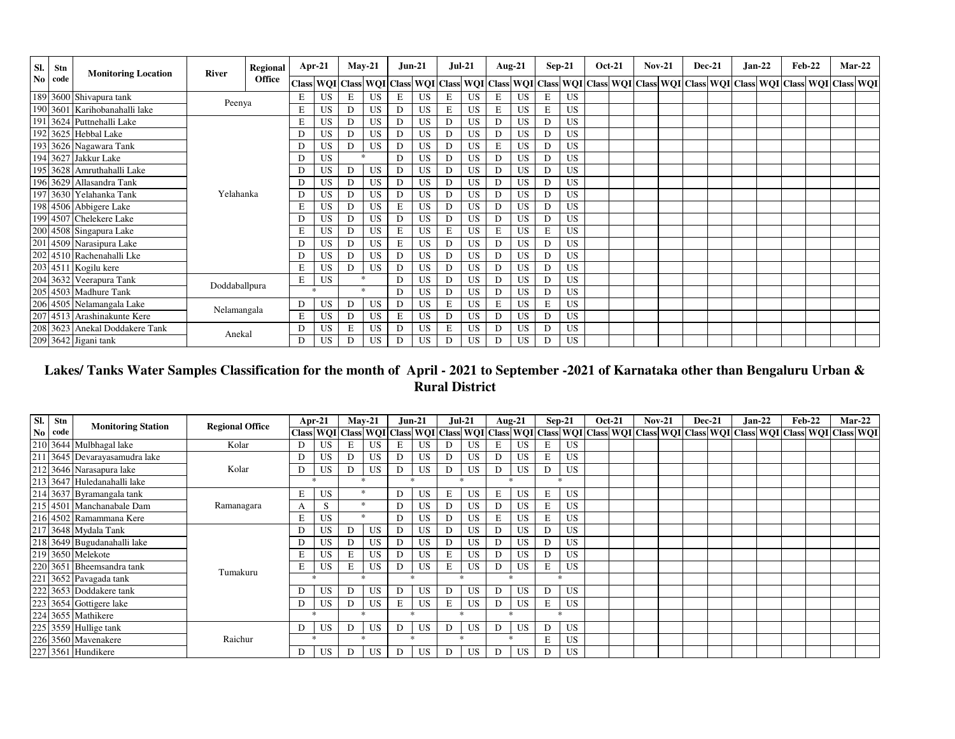| SI.                    | Stn  | <b>Monitoring Location</b>     | River         | Regional      |   | $Apr-21$  |   | $May-21$      | <b>Jun-21</b> |           | $Jul-21$ |           | Aug- $21$ |           |   | $Sep-21$  | <b>Oct-21</b> | $Nov-21$ | <b>Dec-21</b> |  | <b>Jan-22</b> | Feb-22 |                                                                                                                                                                        | <b>Mar-22</b> |
|------------------------|------|--------------------------------|---------------|---------------|---|-----------|---|---------------|---------------|-----------|----------|-----------|-----------|-----------|---|-----------|---------------|----------|---------------|--|---------------|--------|------------------------------------------------------------------------------------------------------------------------------------------------------------------------|---------------|
| $\mathbf{N}\mathbf{0}$ | code |                                |               | <b>Office</b> |   |           |   |               |               |           |          |           |           |           |   |           |               |          |               |  |               |        | Class  WQI   Class  WQI   Class  WQI   Class  WQI   Class  WQI   Class  WQI   Class  WQI   Class  WQI   Class  WQI   Class  WQI   Class  WQI   Class  WQI   Class  WQI |               |
|                        |      | 189 3600 Shivapura tank        | Peenya        |               | Е | US        | Е | <b>US</b>     | E             | US.       | Е        | <b>US</b> | Е         | <b>US</b> | Е | <b>US</b> |               |          |               |  |               |        |                                                                                                                                                                        |               |
|                        |      | 190 3601 Karihobanahalli lake  |               |               | E | <b>US</b> | D | US            | D             | US.       | Ε        | <b>US</b> | Е         | <b>US</b> | Е | <b>US</b> |               |          |               |  |               |        |                                                                                                                                                                        |               |
|                        |      | 191 3624 Puttnehalli Lake      |               |               | Е | <b>US</b> | D | US            | D             | <b>US</b> | D        | <b>US</b> | D         | US        | D | <b>US</b> |               |          |               |  |               |        |                                                                                                                                                                        |               |
|                        |      | 192 3625 Hebbal Lake           |               |               | D | <b>US</b> | D | <b>US</b>     | D             | <b>US</b> | D        | <b>US</b> | D         | <b>US</b> | D | <b>US</b> |               |          |               |  |               |        |                                                                                                                                                                        |               |
|                        |      | 193 3626 Nagawara Tank         |               |               | D | <b>US</b> | D | <b>US</b>     | D             | <b>US</b> | D        | <b>US</b> | E         | <b>US</b> | D | <b>US</b> |               |          |               |  |               |        |                                                                                                                                                                        |               |
|                        |      | 194 3627 Jakkur Lake           |               |               | D | <b>US</b> |   | $\mathcal{P}$ | D             | US        | D        | <b>US</b> | D         | <b>US</b> | D | <b>US</b> |               |          |               |  |               |        |                                                                                                                                                                        |               |
|                        |      | 195 3628 Amruthahalli Lake     |               |               | D | <b>US</b> | D | US            | D             | US.       | D        | <b>US</b> | D         | <b>US</b> | D | US        |               |          |               |  |               |        |                                                                                                                                                                        |               |
|                        |      | 196 3629 Allasandra Tank       |               |               | D | <b>US</b> | D | US            | D             | <b>US</b> | D        | <b>US</b> | D         | US        | D | <b>US</b> |               |          |               |  |               |        |                                                                                                                                                                        |               |
|                        |      | 197 3630 Yelahanka Tank        | Yelahanka     |               | D | <b>US</b> | D | <b>US</b>     | D             | <b>US</b> | D        | <b>US</b> | D         | US        | D | <b>US</b> |               |          |               |  |               |        |                                                                                                                                                                        |               |
|                        |      | 198 4506 Abbigere Lake         |               |               | E | US        | D | <b>US</b>     | Е             | US.       | D        | <b>US</b> | D         | <b>US</b> | D | <b>US</b> |               |          |               |  |               |        |                                                                                                                                                                        |               |
|                        |      | 199 4507 Chelekere Lake        |               |               |   | <b>US</b> | D | US            | D             | <b>US</b> | D        | <b>US</b> | D         | US        | D | <b>US</b> |               |          |               |  |               |        |                                                                                                                                                                        |               |
|                        |      | 200 4508 Singapura Lake        |               |               | E | <b>US</b> | D | <b>US</b>     | E             | <b>US</b> | E        | <b>US</b> | E         | <b>US</b> | E | <b>US</b> |               |          |               |  |               |        |                                                                                                                                                                        |               |
|                        |      | 201 4509 Narasipura Lake       |               |               | D | <b>US</b> | D | <b>US</b>     | E             | <b>US</b> | D        | <b>US</b> | D         | <b>US</b> | D | <b>US</b> |               |          |               |  |               |        |                                                                                                                                                                        |               |
|                        |      | 202 4510 Rachenahalli Lke      |               |               | D | <b>US</b> | D | <b>US</b>     | D             | US        | D        | <b>US</b> | D         | <b>US</b> | D | <b>US</b> |               |          |               |  |               |        |                                                                                                                                                                        |               |
|                        |      | 203 4511 Kogilu kere           |               |               | E | US        | D | US            | D             | US.       | D        | <b>US</b> | D         | <b>US</b> | D | <b>US</b> |               |          |               |  |               |        |                                                                                                                                                                        |               |
|                        |      | 204 3632 Veerapura Tank        | Doddaballpura |               | Е | <b>US</b> |   | $\ast$        | D             | <b>US</b> | D        | <b>US</b> | D         | US        | D | <b>US</b> |               |          |               |  |               |        |                                                                                                                                                                        |               |
|                        |      | 205 4503 Madhure Tank          |               |               |   | $\ast$    |   | $\ast$        | D             | <b>US</b> | D        | <b>US</b> | D         | <b>US</b> | D | <b>US</b> |               |          |               |  |               |        |                                                                                                                                                                        |               |
|                        |      | 206 4505 Nelamangala Lake      | Nelamangala   |               | D | <b>US</b> | D | US            | D             | US.       | Ε        | <b>US</b> | Е         | <b>US</b> | Е | <b>US</b> |               |          |               |  |               |        |                                                                                                                                                                        |               |
|                        |      | 207 4513 Arashinakunte Kere    |               |               | Е | <b>US</b> | D | US            | Е             | <b>US</b> | D        | <b>US</b> | D         | <b>US</b> | D | <b>US</b> |               |          |               |  |               |        |                                                                                                                                                                        |               |
|                        |      | 208 3623 Anekal Doddakere Tank | Anekal        |               | D | <b>US</b> | E | <b>US</b>     | D             | <b>US</b> | E        | <b>US</b> | D         | <b>US</b> | D | <b>US</b> |               |          |               |  |               |        |                                                                                                                                                                        |               |
|                        |      | 209 3642 Jigani tank           |               |               |   | <b>US</b> | D | <b>US</b>     | D             | <b>US</b> | D        | <b>US</b> | D         | <b>US</b> | D | <b>US</b> |               |          |               |  |               |        |                                                                                                                                                                        |               |

# **Lakes/ Tanks Water Samples Classification for the month of April - 2021 to September -2021 of Karnataka other than Bengaluru Urban & Rural District**

| SI. | Stn     | <b>Monitoring Station</b>     | <b>Regional Office</b> | $Apr-21$                                                                                                                                                                                                                   |           | $Mav-21$      |                    | $Jun-21$     |           | <b>Jul-21</b> |           |   | Aug-21        | $Sep-21$       |           | <b>Oct-21</b> |  | $Nov-21$ | <b>Dec-21</b> | $Jan-22$ | <b>Feb-22</b> | $Mar-22$ |  |
|-----|---------|-------------------------------|------------------------|----------------------------------------------------------------------------------------------------------------------------------------------------------------------------------------------------------------------------|-----------|---------------|--------------------|--------------|-----------|---------------|-----------|---|---------------|----------------|-----------|---------------|--|----------|---------------|----------|---------------|----------|--|
|     | No code |                               |                        | Class  WQI   Class  WQI   Class  WQI   Class  WQI   Class  WQI   Class  WQI   Class  WQI   Class  WQI   Class  WQI   Class  WQI   Class  WQI   Class  WQI   Class  WQI   Class  WQI   Class  WQI   Class  WQI   Class  WQI |           |               |                    |              |           |               |           |   |               |                |           |               |  |          |               |          |               |          |  |
|     |         | 210 3644 Mulbhagal lake       | Kolar                  | D                                                                                                                                                                                                                          | US        | E             | US                 | E            | US        |               | US.       | E | US            |                | US        |               |  |          |               |          |               |          |  |
|     |         | 211 3645 Devarayasamudra lake |                        |                                                                                                                                                                                                                            | US        |               | <b>US</b>          | D            | US        |               | US        | D | <b>US</b>     | E              | US        |               |  |          |               |          |               |          |  |
|     |         | 212 3646 Narasapura lake      | Kolar                  |                                                                                                                                                                                                                            | US        |               | <b>US</b>          | D            | US        |               | US.       | D | <b>US</b>     |                | US        |               |  |          |               |          |               |          |  |
|     |         | 213 3647 Huledanahalli lake   |                        |                                                                                                                                                                                                                            |           | $\mathcal{R}$ |                    | $\mathbf{r}$ |           |               |           |   | $\mathcal{R}$ | $\star$        |           |               |  |          |               |          |               |          |  |
|     |         | 214 3637 Byramangala tank     |                        | E                                                                                                                                                                                                                          | US        |               |                    | D            | US        | E             | US.       | Е | <b>US</b>     | E              | <b>US</b> |               |  |          |               |          |               |          |  |
|     |         | 215 4501 Manchanabale Dam     | Ramanagara             | А                                                                                                                                                                                                                          | S         |               | *                  | D            | <b>US</b> | D             | US.       | D | <b>US</b>     | Ε              | US        |               |  |          |               |          |               |          |  |
|     |         | 216 4502 Ramammana Kere       |                        |                                                                                                                                                                                                                            | US        | $\ast$        |                    | D            | US        |               | <b>US</b> | Е | US            | E              | US        |               |  |          |               |          |               |          |  |
|     |         | 217 3648 Mydala Tank          |                        |                                                                                                                                                                                                                            | US        |               | <b>US</b>          | D            | <b>US</b> | D             | US.       | D | <b>US</b>     | D              | US        |               |  |          |               |          |               |          |  |
|     |         | 218 3649 Bugudanahalli lake   |                        |                                                                                                                                                                                                                            | US        |               | <b>US</b>          | D            | US        |               | US.       | D | <b>US</b>     | D              | US        |               |  |          |               |          |               |          |  |
|     |         | 219 3650 Melekote             |                        |                                                                                                                                                                                                                            | US        | E             | <b>US</b>          | D            | US        | E             | US.       | D | <b>US</b>     |                | US        |               |  |          |               |          |               |          |  |
|     |         | 220 3651 Bheemsandra tank     | Tumakuru               | E                                                                                                                                                                                                                          | US        | E             | <b>US</b>          | D            | US        | E             | <b>US</b> | D | <b>US</b>     | E              | US        |               |  |          |               |          |               |          |  |
|     |         | 221 3652 Pavagada tank        |                        | $\ast$                                                                                                                                                                                                                     |           |               | $\ast$             | $\ast$       |           | $\ast$        |           |   | $*$           |                | $\ast$    |               |  |          |               |          |               |          |  |
|     |         | 222 3653 Doddakere tank       |                        |                                                                                                                                                                                                                            | US        | D             | US                 | D            | <b>US</b> | D             | <b>US</b> | D | <b>US</b>     | D              | <b>US</b> |               |  |          |               |          |               |          |  |
|     |         | 223 3654 Gottigere lake       |                        | D                                                                                                                                                                                                                          | <b>US</b> | D             | <b>US</b>          | Е            | <b>US</b> | Ε             | US.       | D | <b>US</b>     | E              | US        |               |  |          |               |          |               |          |  |
|     |         | 224 3655 Mathikere            |                        |                                                                                                                                                                                                                            |           |               | $\mathcal{R}$<br>÷ |              |           |               |           |   | $\ast$        | $\star$        |           |               |  |          |               |          |               |          |  |
|     |         | 225 3559 Hullige tank         |                        | D                                                                                                                                                                                                                          | <b>US</b> | D             | US                 | D            | US        | D             | <b>US</b> | D | <b>US</b>     | D              | US        |               |  |          |               |          |               |          |  |
|     |         | 226 3560 Mavenakere           | Raichur                | ÷                                                                                                                                                                                                                          |           |               | $\ast$             | $\mathbf{r}$ |           | ÷             |           |   | $\mathcal{R}$ | $\blacksquare$ | JS        |               |  |          |               |          |               |          |  |
|     |         | 227 3561 Hundikere            |                        | D.                                                                                                                                                                                                                         | US        | D             | <b>US</b>          | D            | <b>US</b> | D             | <b>US</b> | D | US            | D              | US        |               |  |          |               |          |               |          |  |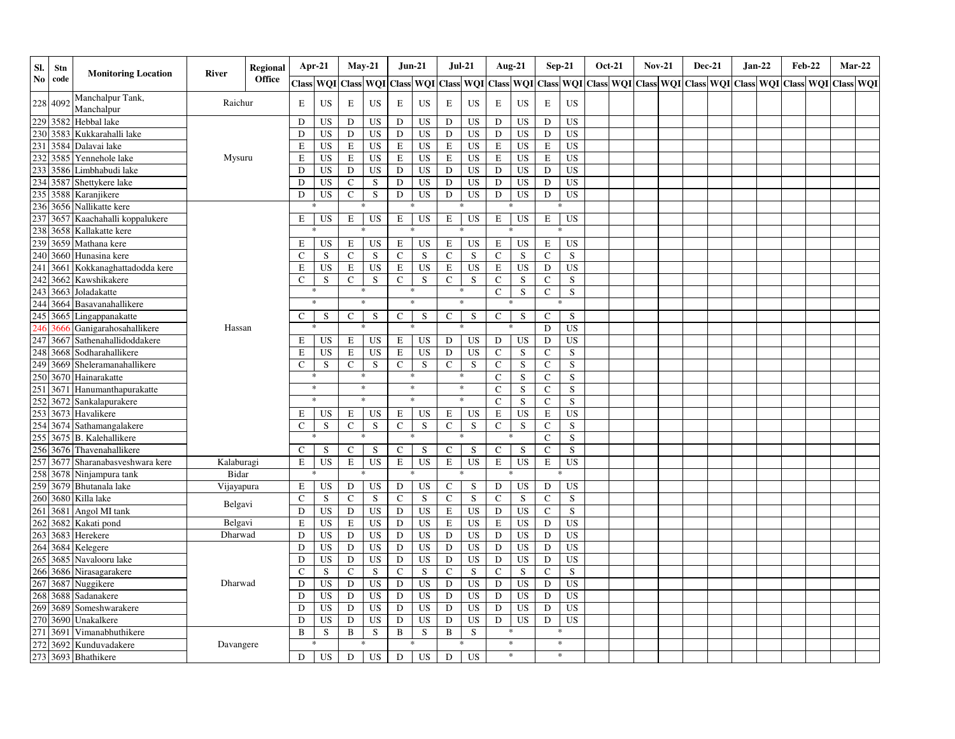| SI. | Stn      | <b>Monitoring Location</b>                                 | <b>River</b> | Regional      |              | Apr-21    | $May-21$      |                 |               | <b>Jun-21</b> | <b>Jul-21</b> |             |              | <b>Aug-21</b> |               | $Sep-21$  | <b>Oct-21</b> | <b>Nov-21</b> | <b>Dec-21</b> | Jan-22                                                |  | <b>Feb-22</b> | $Mar-22$         |
|-----|----------|------------------------------------------------------------|--------------|---------------|--------------|-----------|---------------|-----------------|---------------|---------------|---------------|-------------|--------------|---------------|---------------|-----------|---------------|---------------|---------------|-------------------------------------------------------|--|---------------|------------------|
| No  | code     |                                                            |              | <b>Office</b> | <b>Class</b> | WQI       |               | Class WQI Class |               | WQI Class WQI |               |             | <b>Class</b> | WQI           | <b>Class</b>  |           |               |               |               | WOI Class WOI Class WOI Class WOI Class WOI Class WOI |  |               | <b>Class WOI</b> |
| 228 | 4092     | Manchalpur Tank,<br>Manchalpur                             | Raichur      |               | Е            | US        | E             | US              | E             | US            | E             | <b>US</b>   | E            | US            | E             | <b>US</b> |               |               |               |                                                       |  |               |                  |
|     | 229 3582 | Hebbal lake                                                |              |               | D            | <b>US</b> | D             | US              | D             | US            | D             | US          | D            | <b>US</b>     | D             | US        |               |               |               |                                                       |  |               |                  |
| 230 | 3583     | Kukkarahalli lake                                          |              |               | D            | <b>US</b> | D             | US              | D             | US            | $\mathbf D$   | <b>US</b>   | ${\bf D}$    | <b>US</b>     | D             | <b>US</b> |               |               |               |                                                       |  |               |                  |
| 231 | 3584     | Dalavai lake                                               |              |               | E            | <b>US</b> | $\mathbf E$   | <b>US</b>       | E             | <b>US</b>     | E             | <b>US</b>   | E            | <b>US</b>     | E             | <b>US</b> |               |               |               |                                                       |  |               |                  |
| 232 | 3585     | Yennehole lake                                             | Mysuru       |               | E            | <b>US</b> | $\mathbf E$   | <b>US</b>       | E             | <b>US</b>     | E             | <b>US</b>   | $\mathbf E$  | <b>US</b>     | E             | <b>US</b> |               |               |               |                                                       |  |               |                  |
| 233 | 3586     | Limbhabudi lake                                            |              |               | D            | <b>US</b> | ${\rm D}$     | <b>US</b>       | D             | <b>US</b>     | $\mathbf D$   | US          | ${\bf D}$    | <b>US</b>     | D             | <b>US</b> |               |               |               |                                                       |  |               |                  |
|     | 234 3587 | Shettykere lake                                            |              |               | D            | <b>US</b> | $\mathbf C$   | S               | D             | US            | D             | <b>US</b>   | ${\bf D}$    | <b>US</b>     | D             | <b>US</b> |               |               |               |                                                       |  |               |                  |
| 235 | 3588     | Karanjikere                                                |              |               | D            | <b>US</b> | $\mathcal{C}$ | S               | D             | <b>US</b>     | D             | <b>US</b>   | D            | <b>US</b>     | D             | <b>US</b> |               |               |               |                                                       |  |               |                  |
| 236 | 3656     | Nallikatte kere                                            |              |               |              |           | *             |                 |               | *             |               |             |              |               |               | ∗         |               |               |               |                                                       |  |               |                  |
| 237 |          | 3657 Kaachahalli koppalukere                               |              |               | Е            | US        | E             | <b>US</b>       | E             | <b>US</b>     | E             | US          | E            | <b>US</b>     | $\mathbf E$   | <b>US</b> |               |               |               |                                                       |  |               |                  |
| 238 | 3658     | Kallakatte kere                                            |              |               |              |           |               |                 |               |               |               |             |              |               |               |           |               |               |               |                                                       |  |               |                  |
| 239 | 3659     | Mathana kere                                               |              |               | E            | <b>US</b> | $\mathbf E$   | <b>US</b>       | $\mathbf E$   | <b>US</b>     | E             | <b>US</b>   | E            | <b>US</b>     | E             | <b>US</b> |               |               |               |                                                       |  |               |                  |
| 240 | 3660     | Hunasina kere                                              |              |               | C            | S         | $\mathbf C$   | S               | $\mathbf C$   | ${\bf S}$     | $\mathbf C$   | S           | $\mathbf C$  | S             | $\mathbf C$   | S         |               |               |               |                                                       |  |               |                  |
| 241 | 3661     | Kokkanaghattadodda kere                                    |              |               | Е            | <b>US</b> | $\mathbf E$   | <b>US</b>       | ${\bf E}$     | <b>US</b>     | $\mathbf E$   | US          | $\mathbf E$  | <b>US</b>     | $\mathbf D$   | <b>US</b> |               |               |               |                                                       |  |               |                  |
| 242 | 3662     | Kawshikakere                                               |              |               | $\mathsf{C}$ | S         | $\mathbf C$   | S               | $\mathbf C$   | S             | $\mathsf{C}$  | S           | $\mathbf C$  | $\mathbf S$   | $\mathbf C$   | S         |               |               |               |                                                       |  |               |                  |
| 243 | 3663     | Joladakatte                                                |              |               |              |           |               | $\ast$          | $\ast$        |               | *             |             | $\mathbf C$  | S             | $\mathsf{C}$  | S         |               |               |               |                                                       |  |               |                  |
| 244 | 3664     | Basavanahallikere                                          |              |               |              | $\ast$    | $\ast$        |                 |               | *             | $\ast$        |             |              | *             |               | ∗         |               |               |               |                                                       |  |               |                  |
| 245 | 3665     | Lingappanakatte                                            |              |               | C            | S         | $\mathbf{C}$  | S               | $\mathcal{C}$ | S             | C             | S           | $\mathsf{C}$ | S             | $\mathsf{C}$  | S         |               |               |               |                                                       |  |               |                  |
| 246 | 366      | Ganigarahosahallikere                                      | Hassan       |               |              |           |               |                 |               | *             | $\ast$        |             |              | $\ast$        | D             | <b>US</b> |               |               |               |                                                       |  |               |                  |
| 247 | 3667     | Sathenahallidoddakere                                      |              |               | Е            | <b>US</b> | $\mathbf E$   | <b>US</b>       | $\mathbf E$   | <b>US</b>     | D             | <b>US</b>   | D            | <b>US</b>     | D             | <b>US</b> |               |               |               |                                                       |  |               |                  |
| 248 | 3668     | Sodharahallikere                                           |              |               | E            | US        | $\mathbf E$   | <b>US</b>       | $\mathbf E$   | <b>US</b>     | D             | <b>US</b>   | $\mathsf{C}$ | S             | $\mathbf C$   | S         |               |               |               |                                                       |  |               |                  |
| 249 | 3669     | Sheleramanahallikere                                       |              |               | $\mathbf C$  | S         | $\mathcal{C}$ | S               | $\mathbf C$   | S             | $\mathbf C$   | S           | $\mathbf C$  | S             | $\mathbf C$   | S         |               |               |               |                                                       |  |               |                  |
| 250 | 3670     | Hainarakatte                                               |              |               |              | $\ast$    |               | $\ast$          | $\ast$        |               | *             |             | $\mathbf C$  | S             | $\mathbf C$   | S         |               |               |               |                                                       |  |               |                  |
| 251 | 3671     | Hanumanthapurakatte                                        |              |               |              | $\ast$    |               | $\ast$          | $\ast$        |               |               | $\ast$      | $\mathbf C$  | S             | $\mathcal{C}$ | S         |               |               |               |                                                       |  |               |                  |
| 252 | 3672     | Sankalapurakere                                            |              |               |              | $\ast$    | $\ast$        |                 |               | $\ast$        | $\ast$        |             | $\mathbf C$  | S             | $\mathsf{C}$  | S         |               |               |               |                                                       |  |               |                  |
| 253 | 3673     | Havalikere                                                 |              |               | Е            | US        | E             | US              | E             | US            | E             | US          | $\mathbf E$  | <b>US</b>     | E             | <b>US</b> |               |               |               |                                                       |  |               |                  |
| 254 | 3674     | Sathamangalakere                                           |              |               | C            | S         | $\mathbf C$   | S               | $\mathbf C$   | ${\bf S}$     | $\mathsf{C}$  | S           | $\mathbf C$  | $\mathbf S$   | $\mathsf{C}$  | S         |               |               |               |                                                       |  |               |                  |
| 255 | 3675     | <b>B.</b> Kalehallikere                                    |              |               |              |           |               |                 |               | *             | *             |             |              | *             | $\mathbf C$   | S         |               |               |               |                                                       |  |               |                  |
| 256 | 3676     | Thavenahallikere                                           |              |               | $\mathsf{C}$ | S         | $\mathsf{C}$  | S               | $\mathbf C$   | S             | C             | S           | $\mathbf C$  | S             | $\mathcal{C}$ | S         |               |               |               |                                                       |  |               |                  |
| 257 | 3677     | Sharanabasveshwara kere                                    | Kalaburagi   |               | E            | <b>US</b> | $\mathbf E$   | <b>US</b>       | E             | <b>US</b>     | $\mathbf E$   | <b>US</b>   | $\mathbf E$  | <b>US</b>     | $\mathbf E$   | <b>US</b> |               |               |               |                                                       |  |               |                  |
| 258 | 3678     | Ninjampura tank                                            | Bidar        |               |              |           |               |                 |               | $\ast$        |               |             |              | $\ast$        |               | $\ast$    |               |               |               |                                                       |  |               |                  |
| 259 | 3679     | Bhutanala lake                                             | Vijayapura   |               | Е            | US        | D             | <b>US</b>       | ${\bf D}$     | <b>US</b>     | $\mathsf{C}$  | S           | ${\rm D}$    | <b>US</b>     | D             | <b>US</b> |               |               |               |                                                       |  |               |                  |
| 260 | 3680     | Killa lake                                                 | Belgavi      |               | $\mathsf{C}$ | S         | $\mathbf C$   | S               | $\mathbf C$   | ${\bf S}$     | $\mathsf{C}$  | $\mathbf S$ | $\mathbf C$  | S             | $\mathbf C$   | S         |               |               |               |                                                       |  |               |                  |
| 261 | 3681     | Angol MI tank                                              |              |               | D            | US        | D             | US              | D             | US            | E             | <b>US</b>   | D            | <b>US</b>     | $\mathbf C$   | S         |               |               |               |                                                       |  |               |                  |
| 262 | 3682     | Kakati pond                                                | Belgavi      |               | E            | US        | E             | <b>US</b>       | $\mathbf D$   | US            | E             | <b>US</b>   | $\mathbf E$  | <b>US</b>     | D             | <b>US</b> |               |               |               |                                                       |  |               |                  |
| 263 | 3683     | Herekere                                                   | Dharwad      |               | D            | <b>US</b> | D             | US              | D             | US            | $\mathbf D$   | <b>US</b>   | ${\bf D}$    | <b>US</b>     | D             | <b>US</b> |               |               |               |                                                       |  |               |                  |
| 264 | 3684     | Kelegere                                                   |              |               | D            | <b>US</b> | D             | US              | $\mathbf D$   | US            | D             | <b>US</b>   | ${\bf D}$    | <b>US</b>     | D             | <b>US</b> |               |               |               |                                                       |  |               |                  |
| 265 | 3685     | Navalooru lake                                             |              |               | D            | <b>US</b> | D             | US              | D             | US            | D             | US          | ${\rm D}$    | <b>US</b>     | D             | <b>US</b> |               |               |               |                                                       |  |               |                  |
| 266 | 3686     | Nirasagarakere                                             |              |               | $\mathsf{C}$ | S         | $\mathbf C$   | S               | $\mathsf C$   | S             | $\mathbf C$   | $\mathbf S$ | $\mathbf C$  | S             | $\mathbf C$   | S         |               |               |               |                                                       |  |               |                  |
| 267 | 3687     | Nuggikere                                                  | Dharwad      |               | D            | <b>US</b> | ${\rm D}$     | <b>US</b>       | D             | <b>US</b>     | $\mathbf D$   | <b>US</b>   | ${\bf D}$    | <b>US</b>     | D             | <b>US</b> |               |               |               |                                                       |  |               |                  |
| 268 | 3688     | Sadanakere                                                 |              |               | D            | <b>US</b> | D             | <b>US</b>       | D             | <b>US</b>     | $\mathbf D$   | <b>US</b>   | ${\bf D}$    | <b>US</b>     | D             | <b>US</b> |               |               |               |                                                       |  |               |                  |
| 269 | 3689     | Someshwarakere                                             |              |               | D            | <b>US</b> | ${\rm D}$     | <b>US</b>       | D             | <b>US</b>     | $\mathbf D$   | <b>US</b>   | ${\bf D}$    | <b>US</b>     | D             | <b>US</b> |               |               |               |                                                       |  |               |                  |
| 270 | 3690     | Unakalkere                                                 |              |               | D            | <b>US</b> | ${\rm D}$     | <b>US</b>       | D             | <b>US</b>     | D             | <b>US</b>   | $\mathbf D$  | <b>US</b>     | D             | <b>US</b> |               |               |               |                                                       |  |               |                  |
| 271 | 3691     | Vimanabhuthikere                                           |              |               | $\, {\bf B}$ | S         | $\, {\bf B}$  | S               | B             | S             | B             | S           |              | *             |               | $\ast$    |               |               |               |                                                       |  |               |                  |
|     |          | 272 3692 Kunduvada<br>273 3693 Bhathikere<br>Kunduvadakere | Davangere    |               |              |           | $\ast$        |                 |               | $\ast$        | $\ast$        |             |              | $\ast$        |               | $\ast$    |               |               |               |                                                       |  |               |                  |
|     |          |                                                            |              |               | D            | <b>US</b> | D             | <b>US</b>       | D             | <b>US</b>     | D             | <b>US</b>   |              | $\ast$        |               | $\ast$    |               |               |               |                                                       |  |               |                  |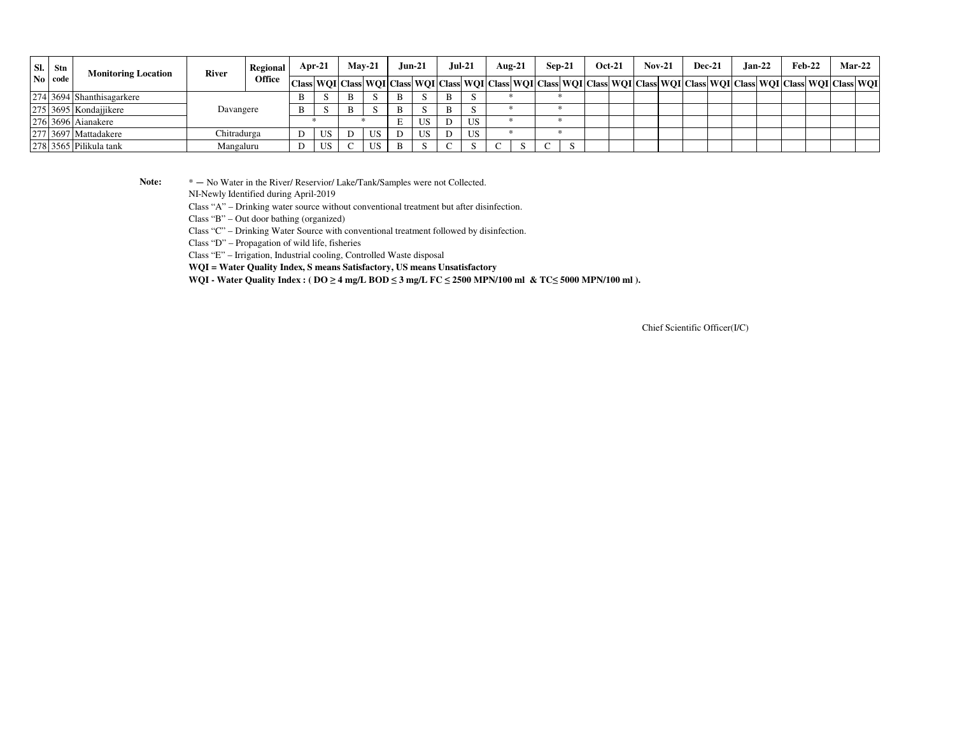| SI. | Stn            | <b>Monitoring Location</b> | <b>River</b> | Regional      | $Apr-21$ |   | $Mav-21$ | $Jun-21$ |   | Jul-21 | Aug-21                                                                                                                                                     | $Sep-21$ |  | <b>Oct-21</b> | $Nov-21$ | <b>Dec-21</b> | $Jan-22$ | $Feb-22$ |  | <b>Mar-22</b> |
|-----|----------------|----------------------------|--------------|---------------|----------|---|----------|----------|---|--------|------------------------------------------------------------------------------------------------------------------------------------------------------------|----------|--|---------------|----------|---------------|----------|----------|--|---------------|
|     | $\bf{No}$ code |                            |              | <b>Office</b> |          |   |          |          |   |        | Class  WQI  Class  WQI  Class  WQI  Class  WQI  Class  WQI  Class  WQI  Class  WQI  Class  WQI  Class  WQI  Class  WQI  Class  WQI  Class  WQI  Class  WQI |          |  |               |          |               |          |          |  |               |
|     |                | 274 3694 Shanthisagarkere  |              |               |          | B |          |          |   |        |                                                                                                                                                            |          |  |               |          |               |          |          |  |               |
|     |                | 275 3695 Kondajjikere      | Davangere    |               |          | B |          |          | B |        |                                                                                                                                                            |          |  |               |          |               |          |          |  |               |
|     |                | 276 3696 Aianakere         |              |               |          |   |          | US       |   | US     |                                                                                                                                                            |          |  |               |          |               |          |          |  |               |
|     |                | 277 3697 Mattadakere       | Chitradurga  |               | US       |   | US       | US       |   | US     |                                                                                                                                                            |          |  |               |          |               |          |          |  |               |
|     |                | 278 3565 Pilikula tank     | Mangaluru    |               | US       |   | US       |          |   |        |                                                                                                                                                            |          |  |               |          |               |          |          |  |               |

Note:  $* - No Water$  in the River/ Reservior/ Lake/Tank/Samples were not Collected.

NI-Newly Identified during April-2019

Class "A" – Drinking water source without conventional treatment but after disinfection.

Class "B" – Out door bathing (organized)

Class "C" – Drinking Water Source with conventional treatment followed by disinfection.

Class "D" – Propagation of wild life, fisheries

Class "E" – Irrigation, Industrial cooling, Controlled Waste disposal

**WQI = Water Quality Index, S means Satisfactory, US means Unsatisfactory**

**WQI - Water Quality Index : ( DO ≥ 4 mg/L BOD ≤ 3 mg/L FC ≤ 2500 MPN/100 ml & TC≤ 5000 MPN/100 ml ).**

Chief Scientific Officer(I/C)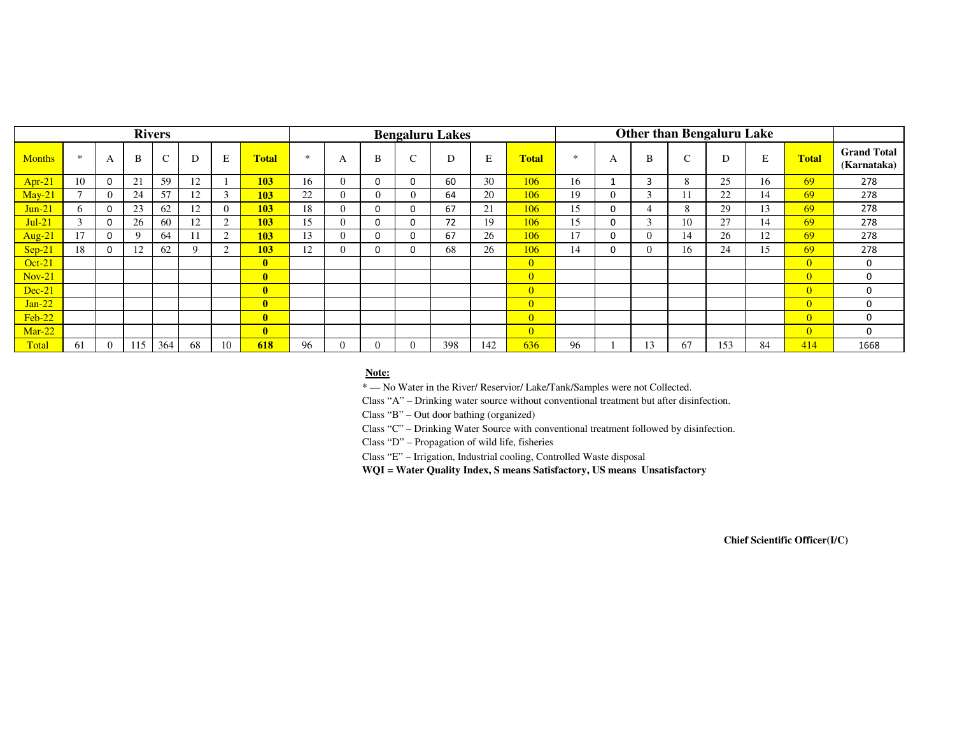|               |              |                |     | <b>Rivers</b> |    |                |                         |        |   |          |   | <b>Bengaluru Lakes</b> |     |                |        |             |          |                 |     |    |                |                                   |
|---------------|--------------|----------------|-----|---------------|----|----------------|-------------------------|--------|---|----------|---|------------------------|-----|----------------|--------|-------------|----------|-----------------|-----|----|----------------|-----------------------------------|
| <b>Months</b> | $\ast$       | А              | B   | $\sim$        | D  | E              | <b>Total</b>            | $\ast$ | A | B        | r |                        | E   | <b>Total</b>   | $\ast$ | A           | B        | $\sqrt{2}$<br>◡ | D   | E  | <b>Total</b>   | <b>Grand Total</b><br>(Karnataka) |
| $Apr-21$      | 10           | $\mathbf 0$    | 21  | 59            | 12 |                | 103                     | 16     |   | $\Omega$ |   | 60                     | 30  | 106            | 16     |             | 3        | $\mathbf{8}$    | 25  | 16 | 69             | 278                               |
| $May-21$      |              | $\Omega$       | 24  | 57            | 12 | $\mathfrak{Z}$ | 103                     | 22     |   | $\theta$ |   | 64                     | 20  | 106            | 19     | $\theta$    |          |                 | 22  | 14 | 69             | 278                               |
| $Jun-21$      | <sub>0</sub> | $\mathbf 0$    | 23  | 62            | 12 | $\Omega$       | 103                     | 18     |   | 0        |   | 67                     | 21  | 106            | 15     | 0           |          | 8               | 29  | 13 | 69             | 278                               |
| $Jul-21$      |              | $\mathbf 0$    | 26  | 60            | 12 | 2              | <b>103</b>              | 15     |   | $\Omega$ |   | 72                     | 19  | 106            | 15     | $\mathbf 0$ |          | 10              | 27  | 14 | 69             | 278                               |
| Aug-21        |              | $\mathbf 0$    | Q   | 64            |    | $\mathcal{D}$  | <b>103</b>              | 13     |   | $\Omega$ |   | 67                     | 26  | 106            | 17     | $\Omega$    | $\theta$ | 14              | 26  | 12 | 69             | 278                               |
| $Sep-21$      | 18           | $\mathbf 0$    | 12  | 62            |    | $\sim$         | 103                     | 12     |   | 0        |   | 68                     | 26  | 106            | 14     | 0           | 0        | 16              | 24  | 15 | 69             | 278                               |
| $Oct-21$      |              |                |     |               |    |                | $\mathbf{0}$            |        |   |          |   |                        |     | $\overline{0}$ |        |             |          |                 |     |    | $\overline{0}$ | 0                                 |
| $Nov-21$      |              |                |     |               |    |                | $\mathbf{0}$            |        |   |          |   |                        |     | $\overline{0}$ |        |             |          |                 |     |    | $\overline{0}$ | $\mathbf 0$                       |
| $Dec-21$      |              |                |     |               |    |                | $\overline{\mathbf{0}}$ |        |   |          |   |                        |     | $\overline{0}$ |        |             |          |                 |     |    | $\Omega$       | 0                                 |
| $Jan-22$      |              |                |     |               |    |                | $\mathbf{0}$            |        |   |          |   |                        |     | $\overline{0}$ |        |             |          |                 |     |    | $\overline{0}$ | 0                                 |
| $Feb-22$      |              |                |     |               |    |                | $\mathbf{0}$            |        |   |          |   |                        |     | $\overline{0}$ |        |             |          |                 |     |    | $\overline{0}$ | 0                                 |
| Mar-22        |              |                |     |               |    |                | $\mathbf{0}$            |        |   |          |   |                        |     | $\overline{0}$ |        |             |          |                 |     |    | $\overline{0}$ | $\mathbf 0$                       |
| Total         | 61           | $\overline{0}$ | 115 | 364           | 68 | 10             | 618                     | 96     |   | $\Omega$ |   | 398                    | 142 | 636            | 96     |             | 13       | 67              | 153 | 84 | 414            | 1668                              |

#### **Note:**

\* — No Water in the River/ Reservior/ Lake/Tank/Samples were not Collected.

Class "A" – Drinking water source without conventional treatment but after disinfection.

Class "B" – Out door bathing (organized)

Class "C" – Drinking Water Source with conventional treatment followed by disinfection.

Class "D" – Propagation of wild life, fisheries

Class "E" – Irrigation, Industrial cooling, Controlled Waste disposal

**WQI = Water Quality Index, S means Satisfactory, US means Unsatisfactory**

**Chief Scientific Officer(I/C)**